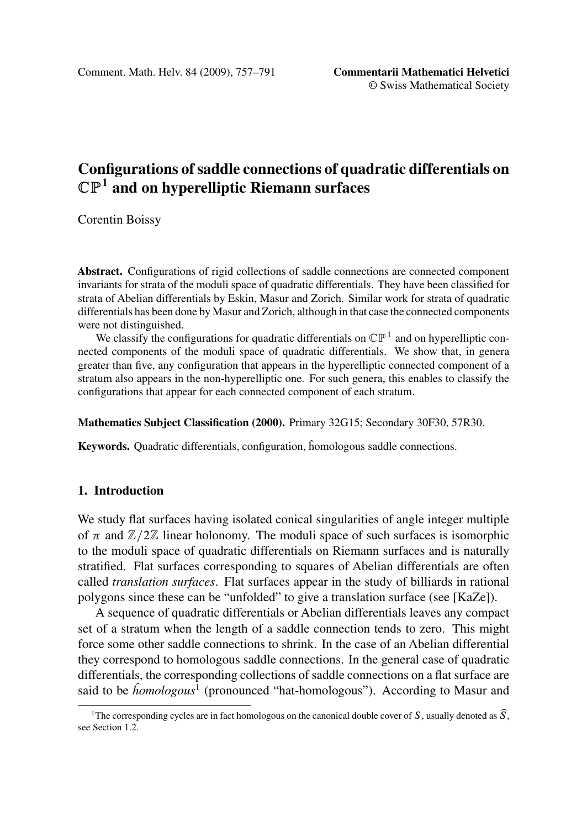Comment. Math. Helv. 84 (2009), 757–791 **Commentarii Mathematici Helvetici**

© Swiss Mathematical Society

# **Configurations of saddle connections of quadratic differentials on** CP<sup>1</sup> **and on hyperelliptic Riemann surfaces**

Corentin Boissy

Abstract. Configurations of rigid collections of saddle connections are connected component invariants for strata of the moduli space of quadratic differentials. They have been classified for strata of Abelian differentials by Eskin, Masur and Zorich. Similar work for strata of quadratic differentials has been done by Masur and Zorich, although in that case the connected components were not distinguished.

We classify the configurations for quadratic differentials on  $\mathbb{CP}^1$  and on hyperelliptic connected components of the moduli space of quadratic differentials. We show that, in genera greater than five, any configuration that appears in the hyperelliptic connected component of a stratum also appears in the non-hyperelliptic one. For such genera, this enables to classify the configurations that appear for each connected component of each stratum.

**Mathematics Subject Classification (2000).** Primary 32G15; Secondary 30F30, 57R30.

Keywords. Quadratic differentials, configuration, homologous saddle connections.

#### **1. Introduction**

We study flat surfaces having isolated conical singularities of angle integer multiple of  $\pi$  and  $\mathbb{Z}/2\mathbb{Z}$  linear holonomy. The moduli space of such surfaces is isomorphic to the moduli space of quadratic differentials on Riemann surfaces and is naturally stratified. Flat surfaces corresponding to squares of Abelian differentials are often called *translation surfaces*. Flat surfaces appear in the study of billiards in rational polygon[s](#page-4-0) [sin](#page-4-0)ce these can be "unfolded" to give a translation surface (see [KaZe]).

A sequence of quadratic differentials or Abelian differentials leaves any compact set of a stratum when the length of a saddle connection tends to zero. This might force some other saddle connections to shrink. In the case of an Abelian differential they correspond to homologous saddle connections. In the general case of quadratic differentials, the corresponding collections of saddle connections on a flat surface are said to be *homologous*<sup>1</sup> (pronounced "hat-homologous"). According to Masur and

<sup>&</sup>lt;sup>1</sup>The corresponding cycles are in fact homologous on the canonical double cover of S, usually denoted as  $\hat{S}$ , see Section 1.2.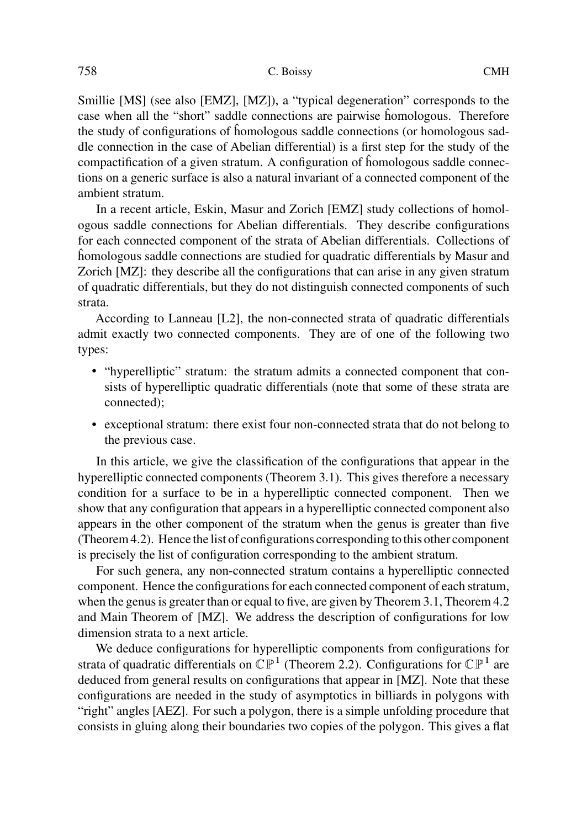Smillie [MS] (see also [EMZ], [MZ]), a "typical degeneration" corresponds to the case when all the "short" saddle connections are pairwise homologous. Therefore the stu[dy of](#page-34-0) configurations of homologous saddle connections (or homologous sad- ˆ dle connection in the case of Abelian differential) is a first step for the study of the compactification of a given stratum. A configuration of homologous saddle connec- ˆ tions on a generic surface is [also](#page-33-0) a natural invariant of a connected component of the ambient stratum.

In a recent article, Eskin, Masur and Zorich [EMZ] study collections of homologous saddle connections for Abelian differentials. They describe configurations for each connected component of the strata of Abelian differentials. Collections of homologous saddle connections are studied for quadratic differentials by Masur and Zorich [MZ]: they describe all the configurations that can arise in any given stratum of quadratic differentials, but they do not distinguish connected components of such strata.

According to Lanneau [L2], the non-connected strata of quadratic differentials admit exactly two connected components. T[hey](#page-15-0) are of one of the following two types:

- "hyperelliptic" stratum: the stratum admits a connected component that consists of hyperelliptic quadratic differentials (note that some of these strata are con[necte](#page-24-0)d);
- exceptional stratum: there exist four non-connected strata that do not belong to the previous case.

In this article, we give the classification of the configurations t[hat](#page-15-0) appear in [the](#page-24-0) hyperelliptic connected [comp](#page-34-0)onents (Theorem 3.1). This gives therefore a necessary condition for a surface to be in a hyperelliptic connected component. Then we show that any configuration that appears in a hyperelliptic connected component also appears in the other component of the stratum w[hen](#page-10-0) the genus is greater than five (Theorem 4.2). Hence the list of configurations corresponding t[o this](#page-34-0) other component is precisely the list of configuration corresponding to the ambient stratum.

For such g[enera,](#page-33-0) any non-connected stratum contains a hyperelliptic connected component. Hence the configurations for each connected component of each stratum, when the genus is greater than or equal to five, are given by Theorem 3.1, Theorem 4.2 and Main Theorem of [MZ]. We address the description of configurations for low dimension strata to a next article.

We deduce configurations for hyperelliptic components from configurations for strata of quadratic differentials on  $\mathbb{CP}^1$  (Theorem 2.2). Configurations for  $\mathbb{CP}^1$  are deduced from general results on configurations that appear in [MZ]. Note that these configurations are needed in the study of asymptotics in billiards in polygons with "right" angles [AEZ]. For such a polygon, there is a simple unfolding procedure that consists in gluing along their boundaries two copies of the polygon. This gives a flat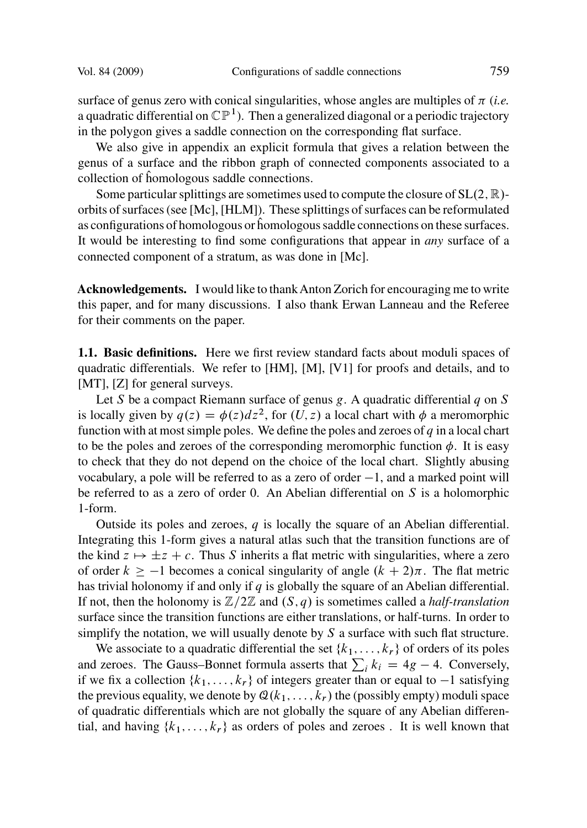surface of genus zero with conical singularities, whose angles are multiples of  $\pi$  (*i.e.* a quadratic differential on  $\mathbb{CP}^1$ ). Then a generalize[d dia](#page-34-0)gonal or a periodic trajectory in the polygon gives a saddle connection on the corresponding flat surface.

We also give in appendix an explicit formula that gives a relation between the genus of a surface and the ribbon graph of connected components associated to a collection of homologous saddle connections.

Some particular splittings are sometimes used to compute the closure of  $SL(2,\mathbb{R})$ orbits of surfaces (see [Mc], [HLM]). These splittings of surfaces can be reformulated as configurations of h[omolo](#page-33-0)g[ous](#page-33-0) or homologous s[addl](#page-34-0)e connections on these surfaces. [It wo](#page-34-0)ul[d](#page-34-0) be interesting to find some configurations that appear in *any* surface of a connected component of a stratum, as was done in [Mc].

**Acknowledgements.** I would like to thankAnton Zorich for encouraging me to write this paper, and for many discussions. I also thank Erwan Lanneau and the Referee for their comments on the paper.

**1.1. Basic definitions.** Here we first review standard facts about moduli spaces of quadratic differentials. We refer to  $[HM]$ ,  $[M]$ ,  $[V1]$  for proofs and details, and to [MT], [Z] for general surveys.

Let S be a compact Riemann surface of genus g. A quadratic differential q on S is locally given by  $q(z) = \phi(z) dz^2$ , for  $(U, z)$  a local chart with  $\phi$  a meromorphic function with at most simple poles. We define the poles and zeroes of  $q$  in a local chart to be the poles and zeroes of the corresponding meromorphic function  $\phi$ . It is easy to check that they do not depend on the choice of the local chart. Slightly abusing vocabulary, a pole will be referred to as a zero of order  $-1$ , and a marked point will<br>be referred to as a zero of order  $0$ . An Abelian differential on S is a holomorphic be referred to as a zero of order 0. An Abelian differential on S is a holomorphic 1-form.

Outside its poles and zeroes,  $q$  is locally the square of an Abelian differential. Integrating this 1-form gives a natural atlas such that the transition functions are of the kind  $z \mapsto \pm z + c$ . Thus S inherits a flat metric with singularities, where a zero of order  $k \ge -1$  becomes a conical singularity of angle  $(k + 2)\pi$ . The flat metric has trivial belonomy if and only if a is globally the square of an Abelian differential has trivial holonomy if and only if  $q$  is globally the square of an Abelian differential. If not, then the holonomy is  $\mathbb{Z}/2\mathbb{Z}$  and  $(S, q)$  is sometimes called a *half-translation* surface since the transition functions are either translations, or half-turns. In order to simplify the notation, we will usually denote by  $S$  a surface with such flat structure.

We associate to a quadratic differential the set  $\{k_1,\ldots,k_r\}$  of orders of its poles and zeroes. The Gauss–Bonnet formula asserts that  $\sum_i k_i = 4g - 4$ . Conversely,<br>if we fix a collection  $\{k, \ldots, k\}$  of integers greater than or equal to  $-1$  satisfying if we fix a collection  $\{k_1, \ldots, k_r\}$  of integers greater than or equal to  $-1$  satisfying<br>the previous equality we denote by  $\mathcal{O}(k, k)$  b the (possibly empty) moduli space the previous equality, we denote by  $\mathcal{Q}(k_1,\ldots,k_r)$  the (possibly empty) moduli space of quadratic differentials which are not globally the square of any Abelian differential, and having  $\{k_1,\ldots,k_r\}$  as orders of poles and zeroes. It is well known that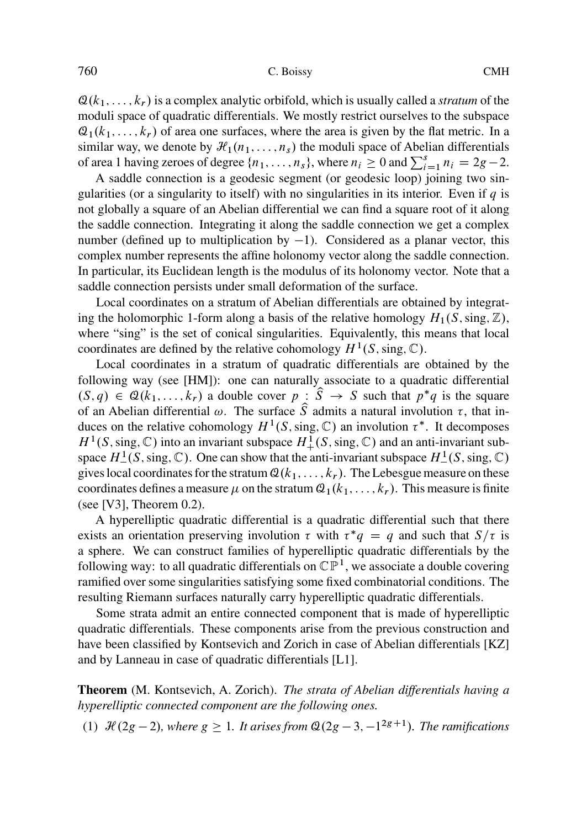$Q(k_1,...,k_r)$  is a complex analytic orbifold, which is usually called a *stratum* of the moduli space of quadratic differentials. We mostly restrict ourselves to the subspace  $\mathcal{Q}_1(k_1,\ldots,k_r)$  of area one surfaces, where the area is given by the flat metric. In a similar way, we denote by  $\mathcal{H}_1(n_1,\ldots,n_s)$  the moduli space of Abelian differentials of area 1 having zeroes of degree  $\{n_1, \ldots, n_s\}$ , where  $n_i \ge 0$  and  $\sum_{i=1}^s n_i = 2g - 2$ .<br>A saddle connection is a geodesic segment (or geodesic loop) joining two sin-

A saddle connection is a geodesic segment (or geodesic loop) joining two singularities (or a singularity to itself) with no singularities in its interior. Even if  $q$  is not globally a square of an Abelian differential we can find a square root of it along the saddle connection. Integrating it along the saddle connection we get a complex number (defined up [to m](#page-33-0)ultiplication by  $-1$ ). Considered as a planar vector, this complex number represents the affine holonomy vector along the saddle connection complex number represents the affine holonomy vector along the saddle connection. In particular, its Euclidean length is the modulus of its holonomy vector. Note that a saddle connection persists under small deformation of the surface.

Local coordinates on a stratum of Abelian differentials are obtained by integrating the holomorphic 1-form along a basis of the relative homology  $H_1(S, \text{sing}, \mathbb{Z})$ , where "sing" is the set of conical singularities. Equivalently, this means that local coordinates are defined by the relative cohomology  $H^1(S, \text{sing}, \mathbb{C})$ .

L[ocal](#page-34-0) coordinates in a stratum of quadratic differentials are obtained by the following way (see [HM]): one can naturally associate to a quadratic differential  $(S, q) \in \mathcal{Q}(k_1,...,k_r)$  a double cover  $p : \overline{S} \to S$  such that  $p^*q$  is the square<br>of an Abelian differential  $\omega$ . The surface  $\hat{S}$  admits a natural involution  $\tau$ , that inof an Abelian differential  $\omega$ . The surface S admits a natural involution  $\tau$ , that induces on the relative cohomology  $H^1(S, \text{sing}, \mathbb{C})$  an involution  $\tau^*$ . It decomposes  $H^1(S, \text{sing}, \mathbb{C})$  into an invariant subspace  $H^1_+(S, \text{sing}, \mathbb{C})$  and an anti-invariant sub-<br>space  $H^1(S, \text{sing}, \mathbb{C})$ . One can show that the anti-invariant subspace  $H^1(S, \text{sing}, \mathbb{C})$ . space  $H^1(S, \text{sing}, \mathbb{C})$ . One can show that the anti-invariant subspace  $H^1(S, \text{sing}, \mathbb{C})$ <br>gives local coordinates for the stratum  $\mathcal{O}(k, k)$ . The Lebesgue measure on these gives local coordinates for the stratum  $\mathcal{Q}(k_1,\ldots,k_r)$ . The Lebesgue measure on these coordinates defines a measure  $\mu$  on the stratum  $\mathcal{Q}_1(k_1,\ldots,k_r)$ . This measure is finite (see [V3], Theorem  $0.2$ ).

A hyperelliptic quadratic differential is a qu[adra](#page-33-0)tic differential such that there exists an orientation preserving involution  $\tau$  with  $\tau^*q = q$  and such that  $S/\tau$  is a sphere. We can construct families of hyperelliptic quadratic differentials by the following way: to all quadratic differentials on  $\mathbb{CP}^1$ , we associate a double covering ramified over some singularities satisfying some fixed combinatorial conditions. The resulting Riemann surfaces naturally carry hyperelliptic quadratic differentials.

Some strata admit an entire connected component that is made of hyperelliptic quadratic differentials. These components arise from the previous construction and have been classified by Kontsevich and Zorich in case of Abelian differentials [KZ] and by Lanneau in case of quadratic differentials [L1].

**Theorem** (M. Kontsevich, A. Zorich). *The strata of Abelian differentials having a hyperelliptic connected component are the following ones.*

(1)  $\mathcal{H}(2g-2)$ , where  $g \geq 1$ . It arises from  $\mathcal{Q}(2g-3,-1^{2g+1})$ . The ramifications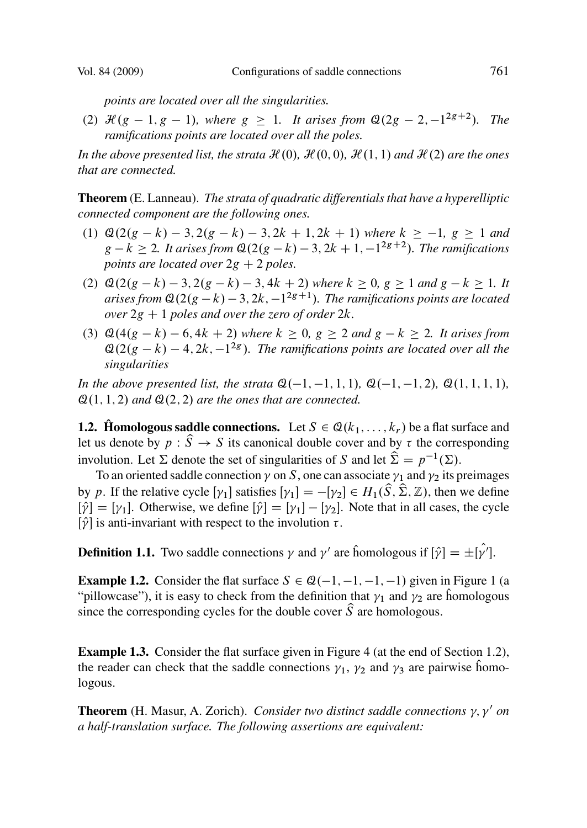<span id="page-4-0"></span>*points are located over all the singularities.*

(2)  $\mathcal{H}(g-1,g-1)$ , where  $g \geq 1$ . It arises from  $\mathcal{Q}(2g-2,-1^{2g+2})$ . The ramifications points are located over all the poles. *ramifications points are located over all the poles.*

*In the above presented list, the strata*  $\mathcal{H}(0)$ *,*  $\mathcal{H}(0,0)$ *,*  $\mathcal{H}(1,1)$  *and*  $\mathcal{H}(2)$  *are the ones that are connected.*

**Theorem** (E. Lanneau). *The strata of quadratic differentials that have a hyperelliptic connected component are the following ones.*

- (1)  $Q(2(g-k)-3, 2(g-k)-3, 2k+1, 2k+1)$  where  $k \ge -1, g \ge 1$  and<br>  $g-k > 2$  It grises from  $Q(2(g-k)-3, 2k+1,-1^{2g+2})$  The ramifications  $g - k \ge 2$ . It arises from  $\mathcal{Q}(2(g - k) - 3, 2k + 1, -1^{2g+2})$ . The ramifications *points are located over*  $2g + 2$  *poles.*
- (2)  $\mathcal{Q}(2(g-k)-3, 2(g-k)-3, 4k+2)$  where  $k \geq 0, g \geq 1$  and  $g-k \geq 1$ . It<br>arises from  $\mathcal{Q}(2(g-k)-3, 2k-12g+1)$ . The ramifications points are located arises from  $\mathcal{Q}(2(g-k)-3, 2k, -1^{2g+1})$ . The ramifications points are located<br>over 2g  $\pm$  1 poles and over the zero of order 2k *over*  $2g + 1$  *poles and over the zero of order*  $2k$ *.*
- (3)  $\mathcal{Q}(4(g-k)-6, 4k+2)$  where  $k \geq 0, g \geq 2$  and  $g-k \geq 2$ . It arises from  $\mathcal{Q}(2(g-k)-4, 2k-1^2)$ . The ramifications points are located over all the  $Q(2(g-k)-4, 2k, -1^{2g})$ . The ramifications points are located over all the singularities *singularities*

*In the above presented list, the strata*  $\mathcal{Q}(-1, -1, 1, 1)$ *,*  $\mathcal{Q}(-1, -1, 2)$ *,*  $\mathcal{Q}(1, 1, 1, 1)$ *,*  $\mathcal{Q}(1, 1, 2)$  *and*  $\mathcal{Q}(2, 2)$  *are the ones that are connected*  $\mathcal{Q}(1, 1, 2)$  *and*  $\mathcal{Q}(2, 2)$  *are the ones that are connected.* 

**1.2. Homologous saddle connections.** Let  $S \in \mathcal{Q}(k_1,...,k_r)$  be a flat surface and let us denote by  $p : \hat{S} \to S$  its canonical double cover and by  $\tau$  the correspon[din](#page-5-0)g involution. Let  $\Sigma$  denote the set of singularities of S and let  $\hat{\Sigma} = p^{-1}(\Sigma)$ .

To an oriented saddle connection  $\gamma$  on S, one can associate  $\gamma_1$  and  $\gamma_2$  its preimages by p. If the relative cycle  $[\gamma_1]$  satisfies  $[\gamma_1] = -[\gamma_2] \in H_1(S, \Sigma, \mathbb{Z})$ , then we define<br> $[\hat{\omega}] = [\gamma_1]$ . Otherwise, we define  $[\hat{\omega}] = [\gamma_2]$ . Note that in all cases, the cycle  $[\hat{\gamma}] = [\gamma_1]$ . Otherwise, we define  $[\hat{\gamma}] = [\gamma_1] - [\gamma_2]$ . N[ote](#page-9-0) that in all cases, the cycle  $[\hat{\gamma}]$  is anti-invariant with respect to the involution  $\tau$  $[\hat{\gamma}]$  is anti-invariant with respect to the involution  $\tau$ .

**Definition 1.1.** Two saddle connections  $\gamma$  and  $\gamma'$  are homologous if  $[\hat{\gamma}] = \pm [\hat{\gamma}']$ .

**Example 1.2.** Consider the flat surface  $S \in \mathcal{Q}(-1, -1, -1, -1)$  given in Figure 1 (a "pillowcase"), it is easy to check from the definition that  $y_1$  and  $y_2$  are homologous "pillowcase"), it is easy to check from the definition that  $\gamma_1$  and  $\gamma_2$  are homologous since the corresponding cycles for the double cover  $\hat{S}$  are homologous.

**Example 1.3.** Consider the flat surface given in Figure 4 (at the end of Section 1.2), the reader can check that the saddle connections  $\gamma_1$ ,  $\gamma_2$  and  $\gamma_3$  are pairwise homologous.

**Theorem** (H. Masur, A. Zorich). *Consider two distinct saddle connections*  $\gamma$ ,  $\gamma'$  *on a half-translation surface. The following assertions are equivalent:*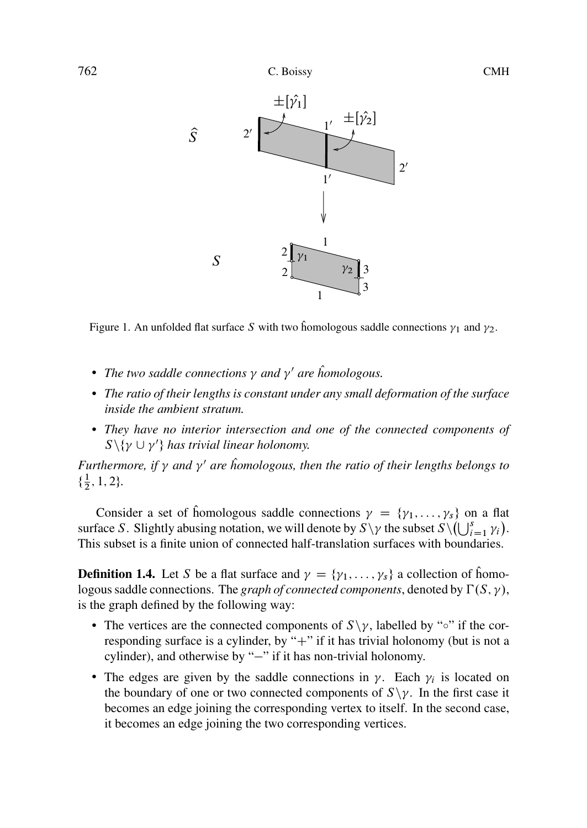

1

 $\sum_1$  3

 $\gamma_2$ 

3

Figure 1. An unfolded flat surface S with two homologous saddle connections  $\gamma_1$  and  $\gamma_2$ .

2 2

 $S \qquad \qquad \frac{2}{3} \gamma_1$ 

<span id="page-5-0"></span> $\hat{S}$ 

- *The two saddle connections*  $\gamma$  *and*  $\gamma'$  *are homologous.*
- *The ratio of their lengths is constant under any small deformation of the surface inside the ambient stratum.*
- *They have no interior intersection and one of the connected components of*  $S \setminus \{ \gamma \cup \gamma' \}$  has trivial linear holonomy.

*Furthermore, if*  $\gamma$  *and*  $\gamma'$  *are homologous, then the ratio of their lengths belongs to*  $\{\frac{1}{2}, 1, 2\}.$ 

Consider a set of homologous saddle connections  $\gamma = {\gamma_1, \ldots, \gamma_s}$  on a flat surface S. Slightly abusing notation, we will denote by  $S \setminus \gamma$  the subset  $S \setminus (\bigcup_{i=1}^{s} \gamma_i)$ .<br>This subset is a finite union of connected half-translation surfaces with boundaries This subset is a finite union of connected half-translation surfaces with boundaries.

**Definition 1.4.** Let S be a flat surface and  $\gamma = {\gamma_1, \dots, \gamma_s}$  a collection of homologous saddle connections. The *graph of connected components*, denoted by  $\Gamma(S, \gamma)$ , is the graph defined by the following way:

- The vertices are the connected components of  $S \ y$ , labelled by " $\circ$ " if the corresponding surface is a cylinder by "+" if it has trivial belonomy (but is not a responding surface is a cylinder, by " $+$ " if it has trivial holonomy (but is not a cylinder), and otherwise by " $-$ " if it has non-trivial holonomy.
- The edges are given by the saddle connections in  $\gamma$ . Each  $\gamma_i$  is located on the boundary of one or two connected components of  $S \setminus u$ . In the first case is the boundary of one or two connected components of  $S\Y$ . In the first case it becomes an edge joining the corresponding vertex to itself. In the second case, it becomes an edge joining the two corresponding vertices.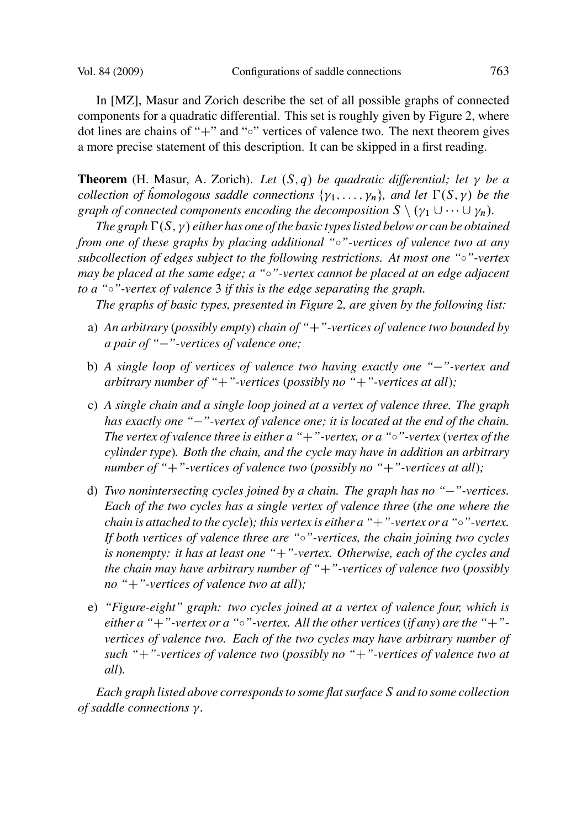In [MZ], Masur and Zorich describe the set of all possible graphs of connected components for a quadratic differential. This set is roughly given by Figure 2, where dot lines are chains of "+" and " $\circ$ " vertices of valence two. The next theorem gives a more precise statement of this description. It can be skipped in a first reading.

**Theorem** (H. Masur, A. Zorich). Let  $(S, q)$  be [qu](#page-7-0)adratic differential; let  $\gamma$  be a *collection of homologous saddle connections*  $\{\gamma_1,\ldots,\gamma_n\}$ *, and let*  $\Gamma(S,\gamma)$  *be the graph of connected components encoding the decomposition*  $S \setminus (\gamma_1 \cup \cdots \cup \gamma_n)$ .

*The graph*  $\Gamma(S, \gamma)$  *either has one of the basic types listed below or can be obtained from one of these graphs by placing additional "<sup>o</sup>"-vertices of valence two at any subcollection of edges subject to the following restrictions. At most one "o"-vertex may be placed at the same edge; a "<sup>o</sup>"-vertex cannot be placed at an edge adjacent to a* " $\circ$ "-vertex of valence 3 *if this is the edge separating the graph.* 

*The graphs of basic types, presented in Figure* 2*, are given by the following list:*

- a) An arbitrary (possibly empty) chain of "+"-vertices of valence two bounded by *a pair of "*-*"-vertices of valence one;*
- b) *A single loop of vertices of valence two having exactly one "-"-vertex and*<br>arbitrary number of "+"-vertices (possibly no "+"-vertices at all); *arbitrary number of "+"-vertices (possibly no "+"-vertices at all);*
- c) *A single chain and a single loop joined at a vertex of valence three. The graph has exactly one "–"-vertex of valence one; it is located at the end of the chain.*<br>The vertex of valence three is either a "+"-vertex or a "0"-vertex (vertex of the *The vertex of valence three is either a "+"-vertex, or a "* $\circ$ *"-vertex (vertex of the cylinder type*)*. Both the chain, and the cycle may have in addition an arbitrary number of "+"-vertices of valence two (possibly no "+"-vertices at all);*
- d) *Two nonintersecting cycles joined by a chain. The graph has no "-"-vertices.*<br>Fach of the two cycles has a single vertex of valence three (the one where the *Each of the two cycles has a single vertex of valence three* (*the one where the chain is attached to the cycle*)*; this vertex is either a "+"-vertex or a "* $\circ$ *"-vertex.* If both vertices of valence three are " $\circ$ "-vertices, the chain joining two cycles *is nonempty: it has at least one* "+"-vertex. Otherwise, each of the cycles and *the chain may have arbitrary number of "+"-vertices of valence two (possibly no* "+"-vertices of valence two at all);
- e) *"Figure-eight" graph: two cycles joined at a vertex of valence four, which is either a* "+"-vertex or a " $\circ$ "-vertex. All the other vertices (*if any*) *are the* "+"*vertices of valence two. Each of the two cycles may have arbitrary number of such* "+"-vertices of valence two (possibly no "+"-vertices of valence two at *all*)*.*

*Each graph listed above corresponds to some flat surface* S *and to some collection of saddle connections γ.*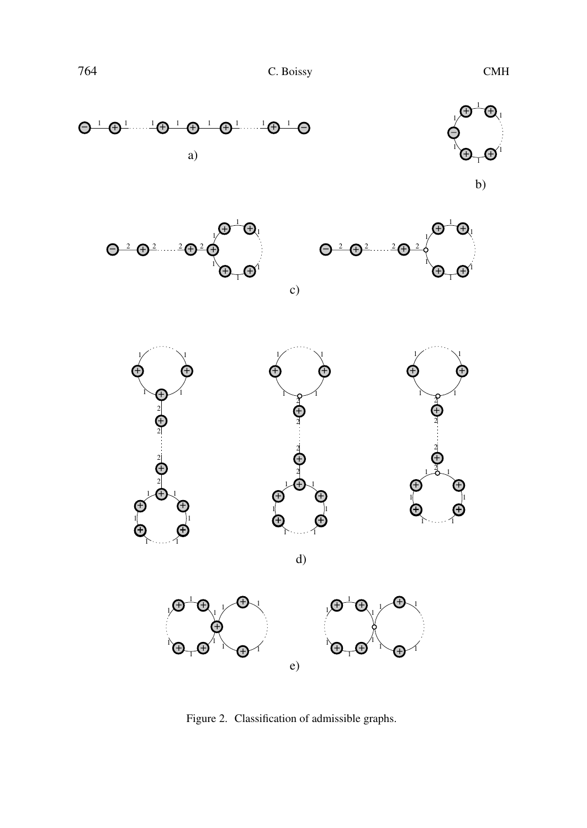<span id="page-7-0"></span>



b)









Figure 2. Classification of admissible graphs.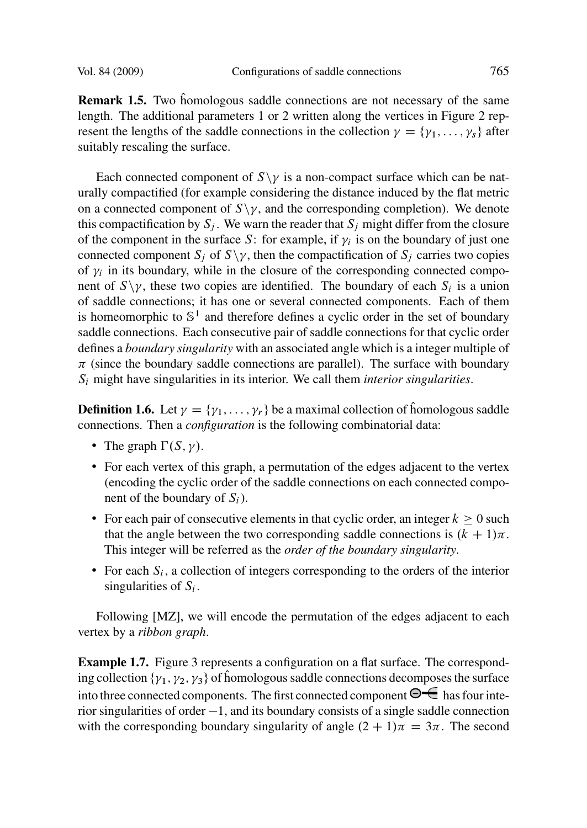**Remark 1.5.** Two homologous saddle connections are not necessary of the same length. The additional parameters 1 or 2 written along the vertices in Figure 2 represent the lengths of the saddle connections in the collection  $\gamma = {\gamma_1, \ldots, \gamma_s}$  after suitably rescaling the surface.

Each connected component of  $S \y$  is a non-compact surface which can be naturally compactified (for example considering the distance induced by the flat metric on a connected component of  $S \y$ , and the corresponding completion). We denote this compactification by  $S_j$ . We warn the reader that  $S_j$  might differ from the closure of the component in the surface S: for example, if  $\gamma_i$  is on the boundary of just one connected component  $S_i$  of  $S \ Y$ , then the compactification of  $S_i$  carries two copies of  $\gamma_i$  in its boundary, while in the closure of the corresponding connected component of  $S \ y$ , these two copies are identified. The boundary of each  $S_i$  is a union of saddle connections; it has one or several connected components. Each of them is homeomorphic to  $\mathbb{S}^1$  and therefore defines a cyclic order in the set of boundary saddle connections. Each consecutive pair of saddle connections for that cyclic order defines a *boundary singularity* with an associated angle which is a integer multiple of  $\pi$  (since the boundary saddle connections are parallel). The surface with boundary <sup>S</sup>i might have singularities in its interior. We call them *interior singularities*.

**Definition 1.6.** Let  $\gamma = {\gamma_1, \dots, \gamma_r}$  be a maximal collection of homologous saddle connections. Then a *configuration* is the following combinatorial data:

- The graph  $\Gamma(S, \gamma)$ .
- For each vertex of this graph, a permutation of the edges adjacent to the vertex (encodin[g the c](#page-34-0)yclic order of the saddle connections on each connected component of the boundary of  $S_i$ ).
- For each pair of [con](#page-9-0)secutive elements in that cyclic order, an integer  $k \ge 0$  such that the angle between the two corresponding saddle connections is  $(k + 1)\pi$ that the angle between the two corresponding saddle connections is  $(k + 1)\pi$ .<br>This integer will be referred as the *order of the houndary singularity* This integer will be referred as the *order of the boundary singularity*.
- For each  $S_i$ , a collection of integers corresponding to the orders of the interior singularities of  $S$ singularities of  $S_i$ .

Following [MZ], we will encode the permutation of the edges adjacent to each vertex by a *ribbon graph*.

**Example 1.7.** Figure 3 represents a configuration on a flat surface. The corresponding collection  $\{\gamma_1, \gamma_2, \gamma_3\}$  of homologous saddle connections decomposes the surface into three connected components. The first connected component  $\Theta$  has four interior singularities of order -1, and its boundary consists of a single saddle connection<br>with the corresponding boundary singularity of angle  $(2 + 1)\pi - 3\pi$ . The second with the corresponding boundary singularity of angle  $(2 + 1)\pi = 3\pi$ . The second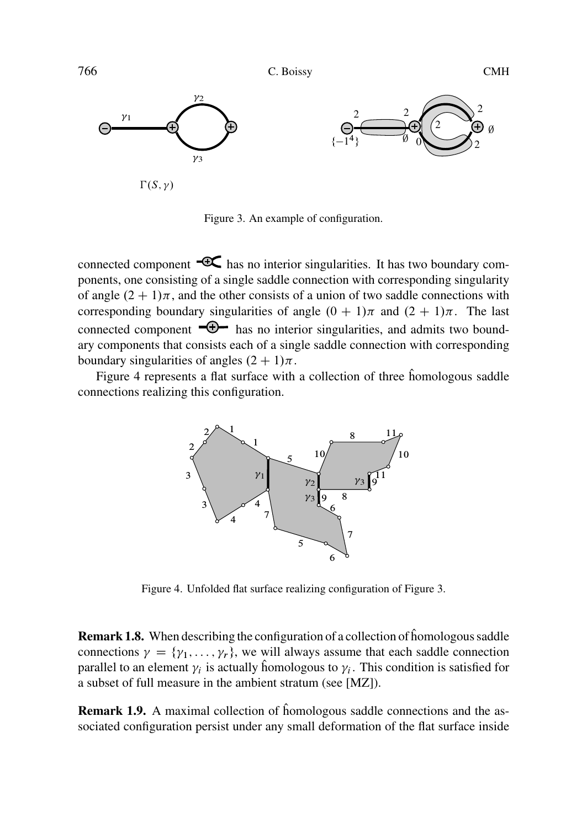<span id="page-9-0"></span>

Figure 3. An example of configuration.

connected component  $-\mathbf{C}$  has no interior singularities. It has two boundary components, one consisting of a single saddle connection with corresponding singularity of angle  $(2 + 1)\pi$ , and the other consists of a union of two saddle connections with<br>corresponding boundary singularities of angle  $(0 + 1)\pi$  and  $(2 + 1)\pi$ . The last corresponding boundary singularities of angle  $(0 + 1)\pi$  and  $(2 + 1)\pi$ . The last connected component  $-\bigoplus$  has no interior singularities, and admits two boundary components that consists each of a single saddle connection with corresponding boundary singularities of angles  $(2 + 1)\pi$ .<br>Figure 4 represents a flat surface with

Figure 4 represents a flat surface with a collection of three homologous saddle connections realizing this configuration.



Figure 4. Unfolded flat surface realizing configuration of Figure 3.

**Remark 1.8.** When describing the configuration of a collection of homologous saddle connections  $\gamma = {\gamma_1, \ldots, \gamma_r}$ , we will always assume that each saddle connection parallel to an element  $\gamma_i$  is actually homologous to  $\gamma_i$ . This condition is satisfied for a subset of full measure in the ambient stratum (see [MZ]).

**Remark 1.9.** A maximal collection of homologous saddle connections and the associated configuration persist under any small deformation of the flat surface inside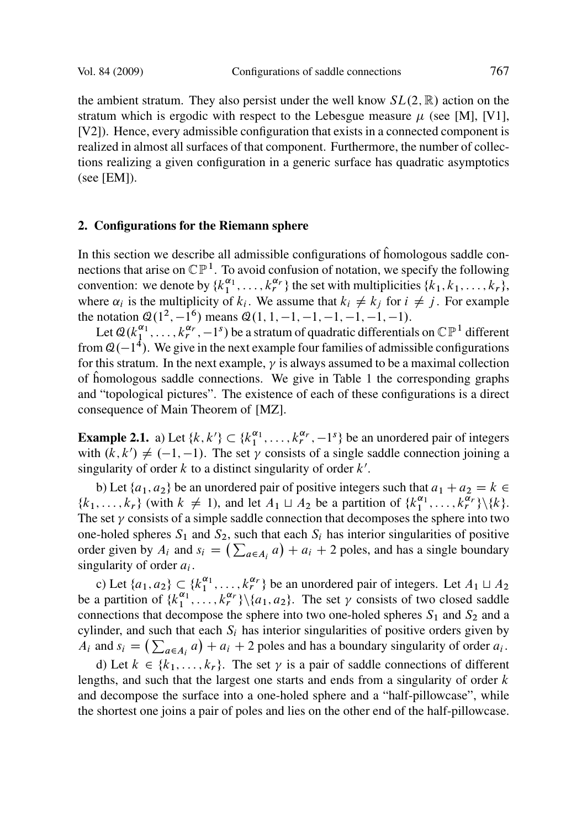<span id="page-10-0"></span>

the ambient stratum. They also persist under the well know  $SL(2,\mathbb{R})$  action on the stratum which is ergodic with respect to the Lebesgue measure  $\mu$  (see [M], [V1], [V2]). Hence, every admissible configuration that exists in a connected component is realized in almost all surfaces of that component. Furthermore, the number of collections realizing a given configuration in a generic surface has quadratic asymptotics (see [EM]).

#### **2. Configurations for the Riemann sphere**

In this section we describe all admissible configurations of homologous saddle connections that arise on  $\mathbb{CP}^1$ . To avo[id co](#page-34-0)nfusion of notation, we specify the following convention: we denote by  $\{k_1^{\alpha_1}, \ldots, k_r^{\alpha_r}\}$  the set with multiplicities  $\{k_1, k_1, \ldots, k_r\}$ ,<br>where  $\alpha_i$  is the multiplicity of  $k_i$ . We assume that  $k_i \neq k_j$  for  $i \neq i$ . For example where  $\alpha_i$  is the multiplicity of  $k_i$ . We assume that  $k_i \neq k_j$  for  $i \neq j$ . For example the notation  $\mathcal{Q}(1^2, -1^6)$  means  $\mathcal{Q}(1, 1, -1, -1, -1, -1, -1)$ .<br>Let  $\mathcal{Q}(L^{\alpha_1}, L^{\alpha_r}, -1^s)$  be a stratum of quadratic differential

Let  $\mathcal{Q}(k_1^{\alpha_1}, \ldots, k_r^{\alpha_r}, -1^s)$  be a stratum of quadratic differentials on  $\mathbb{CP}^1$  different  $n \mathcal{Q}(-1^4)$ . We give in the next example four families of admissible configurations from  $\mathcal{Q}(-1^4)$ . We give in the next example four families of admissible configurations for this stratum. In the next example,  $\chi$  is always assumed to be a maximal collection for this stratum. In the next example,  $\gamma$  is always assumed to be a maximal collection of homologous saddle connections. We give in Table 1 the corresponding graphs ˆ and "topological pictures". The existence of each of these configurations is a direct consequence of Main Theorem of [MZ].

**Example 2.1.** a) Let  $\{k, k'\} \subset \{k_1^{\alpha_1}, \ldots, k_r^{\alpha_r}, -1^s\}$  be an unordered pair of integers with  $(k, k') \neq (-1, -1)$ . The set v consists of a single saddle connection joining a with  $(k, k') \neq (-1, -1)$ . The set  $\gamma$  consists of a single saddle connection joining a singularity of order k to a distinct singularity of order k' singularity of order  $k$  to a distinct singularity of order  $k'$ .

b) Let  $\{a_1, a_2\}$  be an unordered pair of positive integers such that  $a_1 + a_2 = k \in$  $\{k_1, \ldots, k_r\}$  (with  $k \neq 1$ ), and let  $A_1 \sqcup A_2$  be a partition of  $\{k_1^{\alpha_1}, \ldots, k_r^{\alpha_r}\}\{k\}$ .<br>The set y consists of a simple saddle connection that decomposes the sphere into two The set  $\gamma$  consists of a simple saddle connection that decomposes the sphere into two one-holed spheres  $S_1$  and  $S_2$ , such that each  $S_i$  has interior singularities of positive order given by  $A_i$  and  $s_i = (\sum_{a \in A_i} a) + a_i + 2$  poles, and has a single boundary singularity of order  $a_i$ . singularity of order  $a_i$ .

c) Let  $\{a_1, a_2\} \subset \{k_1^{\alpha_1}, \ldots, k_r^{\alpha_r}\}$  be an unordered pair of integers. Let  $A_1 \sqcup A_2$ <br>a partition of  $\{k_1^{\alpha_1}, \ldots, k_r^{\alpha_r}\}$  and The set  $\nu$  consists of two closed saddle be a partition of  $\{k_1^{\alpha_1}, \ldots, k_r^{\alpha_r}\} \setminus \{a_1, a_2\}$ . The set  $\gamma$  consists of two closed saddle connections that decompose the sphere into two one-holed spheres  $S_1$  and  $S_2$  and a connections that decompose the sphere into two one-holed spheres  $S_1$  and  $S_2$  and a cylinder, and such that each  $S_i$  has interior singularities of positive orders given by  $A_i$  and  $s_i = (\sum_{a \in A_i} a) + a_i + 2$  poles and has a boundary singularity of order  $a_i$ .

d) Let  $k \in \{k_1,\ldots,k_r\}$ . The set  $\gamma$  is a pair of saddle connections of different lengths, and such that the largest one starts and ends from a singularity of order  $k$ and decompose the surface into a one-holed sphere and a "half-pillowcase", while the shortest one joins a pair of poles and lies on the other end of the half-pillowcase.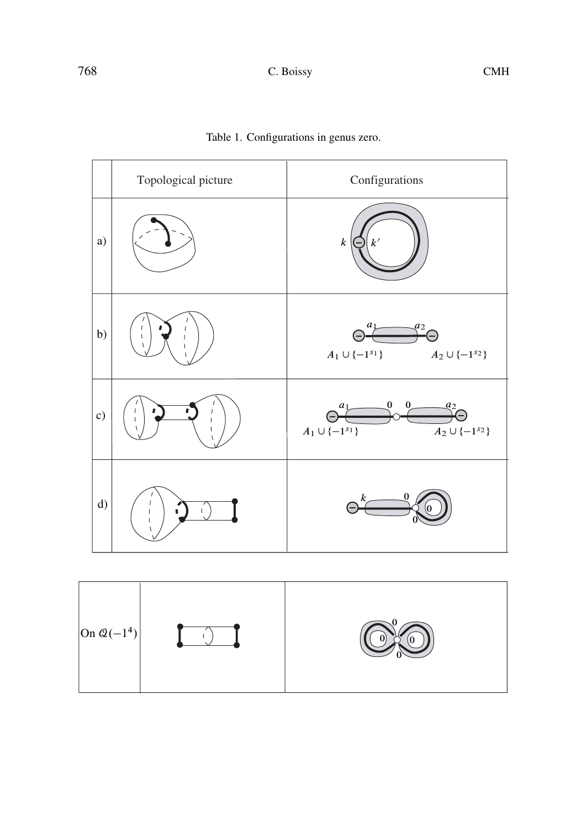

Table 1. Configurations in genus zero.

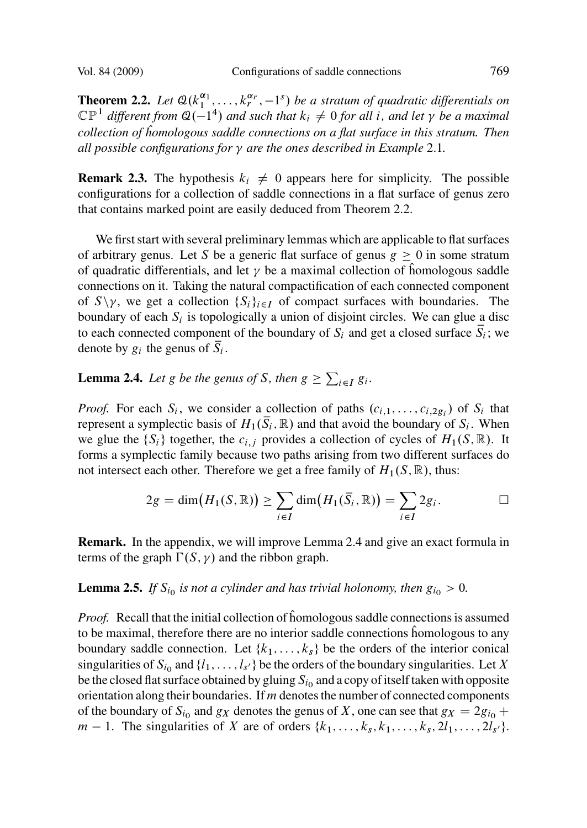<span id="page-12-0"></span>

**Theorem 2.2.** Let  $\mathcal{Q}(k_1^{\alpha_1}, \ldots, k_r^{\alpha_r}, -1^s)$  be a stratum of quadratic differentials on  $\mathbb{CP}^1$  different from  $\mathcal{Q}(-1^4)$  and such that  $k_1 \neq 0$  for all i, and let y be a maximal  $\mathbb{CP}^1$  different from  $\mathcal{Q}(-1^4)$  and such that  $k_i \neq 0$  for all i, and let  $\gamma$  be a maximal<br>collection of homologous saddle connections on a flat surface in this stratum. Then *collection of homologous saddle connections on a ˆ flat surface in this stratum. Then all possible configurations for*  $\gamma$  are the ones described in Example 2.1.

**Remark 2.3.** The hypothesis  $k_i \neq 0$  appears here for simplicity. The possible configurations for a collection of saddle connections in a flat surface of genus zero that contains marked point are easily deduced from Theorem 2.2.

We first start with several preliminary lemmas which are applicable to flat surfaces of arbitrary genus. Let S be a generic flat surface of genus  $g > 0$  in some stratum of quadratic differentials, and let  $\gamma$  be a maximal collection of homologous saddle connections on it. Taking the natural compactification of each connected component of  $S \backslash \gamma$ , we get a collection  $\{S_i\}_{i \in I}$  of compact surfaces with boundaries. The boundary of each  $S_i$  is topologically a union of disjoint circles. We can glue a disc to each connected component of the boundary of  $S_i$  and get a closed surface  $\overline{S}_i$ ; we denote by  $g_i$  the genus of  $S_i$ .

# **Lemma 2.4.** Let g be the genus of S, then  $g \ge \sum_{i \in I} g_i$ .

*Proof.* For each  $S_i$ , we consider a collection of paths  $(c_{i,1},...,c_{i,2g_i})$  of  $S_i$  that represent a symplectic basis of  $H_1(\overline{S}_i, \mathbb{R})$  and that avoid the boundary of  $S_i$ . When we glue the  $\{S_i\}$  together, the  $c_{i,j}$  provides a collection of cycles of  $H_1(S,\mathbb{R})$ . It forms a symplectic family because two paths arising from two different surfaces do not intersect each other. Therefore we get a free family of  $H_1(S, \mathbb{R})$ , thus:

$$
2g = \dim(H_1(S, \mathbb{R})) \ge \sum_{i \in I} \dim(H_1(\overline{S}_i, \mathbb{R})) = \sum_{i \in I} 2g_i.
$$

**Remark.** In the appendix, we will improve Lemma 2.4 and give an exact formula in terms of the graph  $\Gamma(S, \gamma)$  and the ribbon graph.

# **Lemma 2.5.** *If*  $S_{i0}$  *is not a cylinder and has trivial holonomy, then*  $g_{i0} > 0$ *.*

*Proof.* Recall that the initial collection of homologous saddle connections is assumed to be maximal, therefore there are no interior saddle connections homologous to any boundary saddle connection. Let  $\{k_1,\ldots,k_s\}$  be the orders of the interior conical singularities of  $S_{i_0}$  and  $\{l_1,\ldots,l_{s'}\}$  be the orders of the boundary singularities. Let X be the closed flat surface obtained by gluing  $S_{i0}$  and a copy of itself taken with opposite orientation along their boundaries. If  $m$  denotes the number of connected components of the boundary of  $S_{i_0}$  and  $g_X$  denotes the genus of X, one can see that  $g_X = 2g_{i_0} +$  $m-1$ . The singularities of X are of orders  $\{k_1,\ldots,k_s,k_1,\ldots,k_s,2l_1,\ldots,2l_{s'}\}.$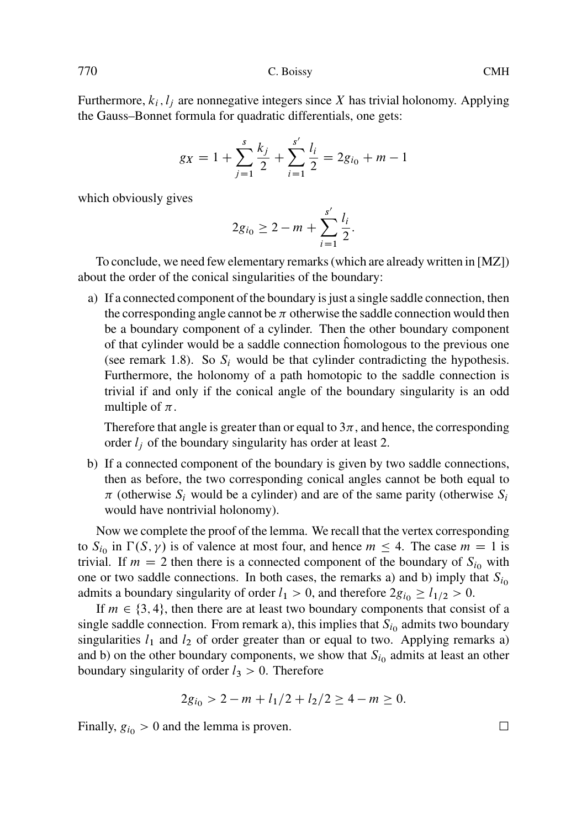Furthermore,  $k_i$ ,  $l_i$  are nonnegative integers since X has trivial holonomy. Applying the Gauss–Bonnet formula for quadratic differentials, one gets:

$$
gx = 1 + \sum_{j=1}^{s} \frac{k_j}{2} + \sum_{i=1}^{s'} \frac{l_i}{2} = 2g_{i_0} + m - 1
$$

which obviously gives

$$
2g_{i_0} \ge 2 - m + \sum_{i=1}^{s'} \frac{l_i}{2}.
$$

To conclude, we need few elementary remarks (which are already written in [MZ]) about the order of the conical singularities of the boundary:

a) If a connected component of the boundary is just a single saddle connection, then the corresponding angle cannot be  $\pi$  otherwise the saddle connection would then be a boundary component of a cylinder. Then the other boundary component of that cylinder would be a saddle connection homologous to the previous one (see remark 1.8). So  $S_i$  would be that cylinder contradicting the hypothesis. Furthermore, the holonomy of a path homotopic to the saddle connection is trivial if and only if the conical angle of the boundary singularity is an odd multiple of  $\pi$ .

Therefore that angle is greater than or equal to  $3\pi$ , and hence, the corresponding order  $l_i$  of the boundary singularity has order at least 2.

b) If a connected component of the boundary is given by two saddle connections, then as before, the two corresponding conical angles cannot be both equal to  $\pi$  (otherwise  $S_i$  would be a cylinder) and are of the same parity (otherwise  $S_i$ <br>would have nontrivial halonomy) would have nontrivial holonomy).

Now we complete the proof of the lemma. We recall that the vertex corresponding to  $S_{i_0}$  in  $\Gamma(S, \gamma)$  is of valence at most four, and hence  $m \leq 4$ . The case  $m = 1$  is trivial. If  $m = 2$  then there is a connected component of the boundary of  $S_{i<sub>0</sub>}$  with one or two saddle connections. In both cases, the remarks a) and b) imply that  $S_{i_0}$ admits a boundary singularity of order  $l_1 > 0$ , and therefore  $2g_{i_0} \ge l_{1/2} > 0$ .

If  $m \in \{3, 4\}$ , then there are at least two boundary components that consist of a single saddle connection. From remark a), this implies that  $S_{i0}$  admits two boundary singularities  $l_1$  and  $l_2$  of order greater than or equal to two. Applying remarks a) and b) on the other boundary components, we show that  $S_{i0}$  admits at least an other boundary singularity of order  $l_3 > 0$ . Therefore

$$
2g_{i_0} > 2 - m + l_1/2 + l_2/2 \ge 4 - m \ge 0.
$$

Finally,  $g_{i_0} > 0$  and the lemma is proven.  $\Box$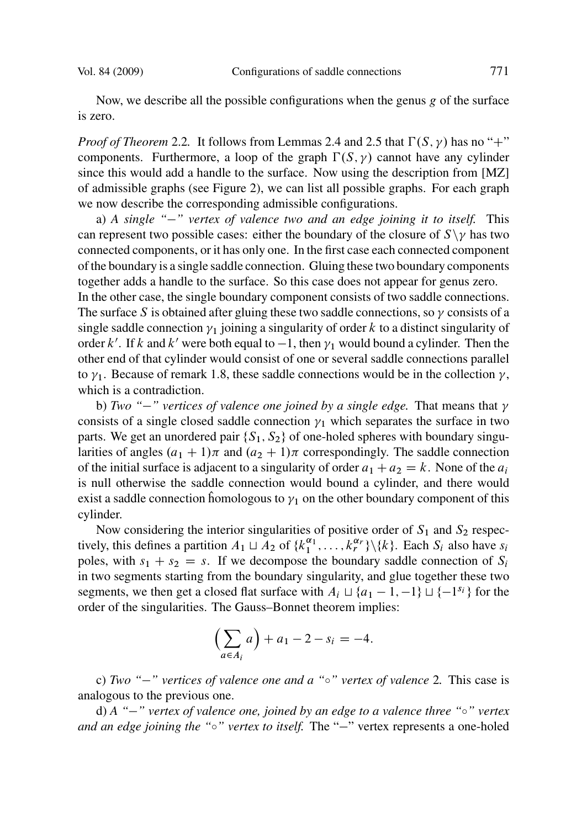Now, we describe all the possible configurations when the genus  $g$  of the surface is zero.

*Proof of Theorem* 2.2. It follows from Lemmas 2.4 and 2.5 that  $\Gamma(S, \gamma)$  has no "+" components. Furthermore, a loop of the graph  $\Gamma(S, \gamma)$  cannot have any cylinder since this would add a handle to the surface. Now using the description from [MZ] of admissible graphs (see Figure 2), we can list all possible graphs. For each graph we now describe the corresponding admissible configurations.

a) *A single "*-" *vertex of valence two and an edge joining it to itself.* This represent two possible cases: either the boundary of the closure of  $S \ y$  has two can represent two possibl[e ca](#page-9-0)ses: either the boundary of the closure of  $S \ y$  has two connected components, or it has only one. In the first case each connected component of the boundary is a single saddle connection. Gluing these two boundary components together adds a handle to the surface. So this case does not appear for genus zero. In the other case, the single boundary component consists of two saddle connections. The surface S is obtained after gluing these two saddle connections, so  $\gamma$  consists of a single saddle connection  $\gamma_1$  joining a singularity of order k to a distinct singularity of order k'. If k and k' were both equal to  $-1$ , then  $\gamma_1$  would bound a cylinder. Then the other end of that cylinder would consist of one or several saddle connections parallel other end of that cylinder would consist of one or several saddle connections parallel to  $\gamma_1$ . Because of remark 1.8, these saddle connections would be in the collection  $\gamma$ , which is a contradiction.

b) *Two "*-" vertices of valence one joined by a single edge. That means that  $\gamma$  sits of a single closed saddle connection  $\gamma$ , which separates the surface in two consists of a single closed saddle connection  $y_1$  which separates the surface in two parts. We get an unordered pair  $\{S_1, S_2\}$  of one-holed spheres with boundary singularities of angles  $(a_1 + 1)\pi$  and  $(a_2 + 1)\pi$  correspondingly. The saddle connection<br>of the initial surface is adjacent to a singularity of order  $a_1 + a_2 = k$ . None of the q. of the initial surface is adjacent to a singularity of order  $a_1 + a_2 = k$ . None of the  $a_i$ is null otherwise the saddle connection would bound a cylinder, and there would exist a saddle connection homologous to  $\gamma_1$  on the other boundary component of this cylinder.

Now considering the interior singularities of positive order of  $S_1$  and  $S_2$  respectively, this defines a partition  $A_1 \sqcup A_2$  of  $\{k_1^{\alpha_1}, \ldots, k_r^{\alpha_r}\} \setminus \{k\}$ . Each  $S_i$  also have  $s_i$  poles, with  $s_i \perp s_i = s$ . If we decompose the boundary saddle connection of S. poles, with  $s_1 + s_2 = s$ . If we decompose the boundary saddle connection of  $S_i$ in two segments starting from the boundary singularity, and glue together these two segments, we then get a closed flat surface with  $A_i \sqcup \{a_1 - 1, -1\} \sqcup \{-1^{s_i}\}$  for the order of the singularities. The Gauss-Bonnet theorem implies: order of the singularities. The Gauss–Bonnet theorem implies:

$$
\left(\sum_{a\in A_i}a\right)+a_1-2-s_i=-4.
$$

c) *Two "*—" vertices of valence one and a "<sup>o</sup>" vertex of valence 2. This case is logous to the previous one analogous to the previous one.

d) *A* "-" vertex of valence one, joined by an edge to a valence three "0" vertex<br>Lan edge joining the "0" vertex to itself. The "-" vertex represents a one-holed and an edge joining the "<sup>o</sup>" vertex to itself. The "-" vertex represents a one-holed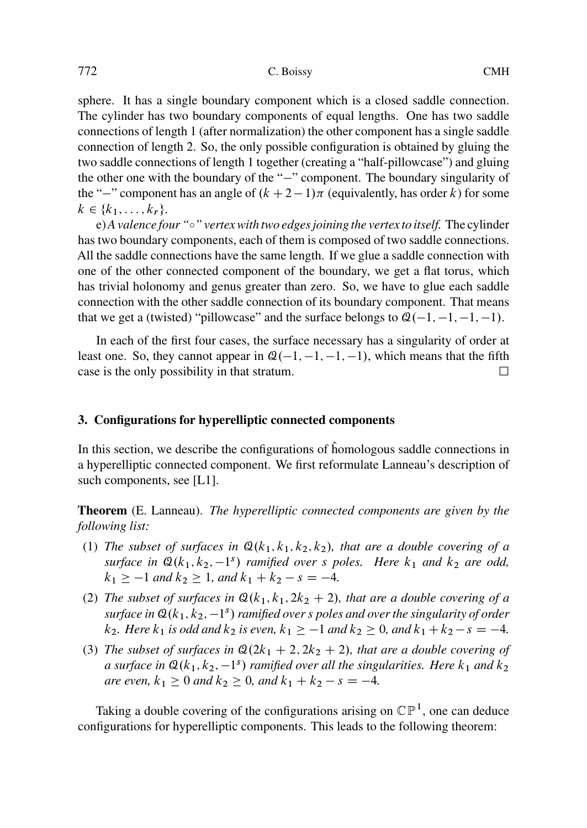<span id="page-15-0"></span>sphere. It has a single boundary component which is a closed saddle connection. The cylinder has two boundary components of equal lengths. One has two saddle connections of length 1 (after normalization) the other component has a single saddle connection of length 2. So, the only possible configuration is obtained by gluing the two saddle connections of length 1 together (creating a "half-pillowcase") and gluing the other one with the boundary of the "-" component. The boundary singularity of<br>the "-" component has an angle of  $(k+2-1)\pi$  (equivalently has order k) for some the "-" component has an angle of  $(k + 2 - 1)\pi$  (equivalently, has order k) for some  $k \in \{k, \ldots, k\}$  $k \in \{k_1,\ldots,k_r\}.$ 

e)*A* valence four " $\circ$ " vertex with two edges joining the vertex to itself. The cylinder has two boundary components, each of them is composed of two saddle connections. All the saddle connections have the same length. If we glue a saddle connection with one of the other connected component of the boundary, we get a flat torus, which has trivial holonomy and genus greater than zero. So, we have to glue each saddle connection with the other saddle connection of its boundary component. That means that we get a (twisted) "pillowcase" and the surface belongs to  $\mathcal{Q}(-1, -1, -1, -1)$ .

In each of the first [four](#page-33-0) cases, the surface necessary has a singularity of order at least one. So, they cannot appear in  $\mathcal{Q}(-1, -1, -1, -1)$ , which means that the fifth case is the only possibility in that stratum case is the only possibility in that stratum.  $\Box$ 

## **3. Configurations for hyperelliptic connected components**

In this section, we describe the configurations of homologous saddle connections in a hyperelliptic connected component. We first reformulate Lanneau's description of such components, see [L1].

**Theorem** (E. Lanneau). *The hyperelliptic connected components are given by the following list:*

- (1) *The subset of surfaces in*  $\mathcal{Q}(k_1, k_1, k_2, k_2)$ *, that are a double covering of a surface in*  $\mathcal{Q}(k_1, k_2, -1^s)$  *ramified over s poles. Here*  $k_1$  *and*  $k_2$  *are odd,*<br> $k_1 \ge -1$  and  $k_2 \ge 1$  and  $k_1 + k_2 - s = -4$ .  $k_1 \ge -1$  and  $k_2 \ge 1$ , and  $k_1 + k_2 - s = -4$ .
- (2) *The subset of surfaces in*  $\mathcal{Q}(k_1, k_1, 2k_2 + 2)$ *, that are a double covering of a surface in*  $\mathcal{Q}(k_1, k_2, -1^s)$  *ramified over s poles and over the singularity of order*<br>*k<sub>2</sub>* Here *k<sub>2</sub>* is odd and *k<sub>2</sub>* is event  $k_1 \ge -1$  and  $k_2 \ge 0$  and  $k_1 + k_2 - s = -4$  $k_2$ . Here  $k_1$  *is odd and*  $k_2$  *is even,*  $k_1 \ge -1$  *and*  $k_2 \ge 0$ *, and*  $k_1 + k_2 - s = -4$ .
- (3) *The subset of surfaces in*  $\mathcal{Q}(2k_1 + 2, 2k_2 + 2)$ *, that are a double covering of a* surface in  $\mathcal{Q}(k_1, k_2, -1^s)$  ramified over all the singularities. Here  $k_1$  and  $k_2$ <br>are event  $k_1 \geq 0$  and  $k_2 \geq 0$  and  $k_1 + k_2 = s = -4$ *are even,*  $k_1 \ge 0$  *and*  $k_2 \ge 0$ *, and*  $k_1 + k_2 - s = -4$ *.*

Taking a double covering of the configurations arising on  $\mathbb{CP}^1$ , one can deduce configurations for hyperelliptic components. This leads to the following theorem: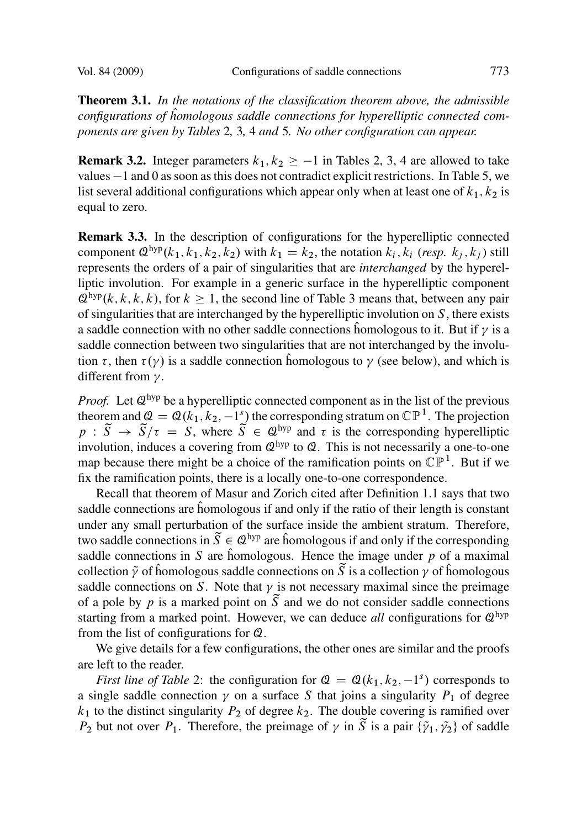**Theorem 3.1.** *In the notations of the classification theorem above, the admissible configurations of homologous saddle connections for hyperelliptic connected com- ˆ ponents are given by Tables* 2*,* 3*,* 4 *and* 5*. No other configuration can appear.*

**Remark 3.2.** Integer parameters  $k_1, k_2 \ge -1$  in T[abl](#page-18-0)es 2, 3, 4 are allowed to take values  $-1$  and 0 as soon as this does not contradict explicit restrictions. In Table 5, we<br>list several additional configurations which appear only when at least one of  $k_1, k_2$  is list several additional configurations which appear only when at least one of  $k_1, k_2$  is equal to zero.

**Remark 3.3.** In the description of configurations for the hyperelliptic connected component  $\mathcal{Q}^{\text{hyp}}(k_1, k_1, k_2, k_2)$  with  $k_1 = k_2$ , the notation  $k_i, k_i$  (*resp.*  $k_j, k_j$ ) still represents the orders of a pair of singularities that are *interchanged* by the hyperelliptic involution. For example in a generic surface in the hyperelliptic component  $\mathcal{Q}^{\text{hyp}}(k, k, k, k)$ , for  $k \geq 1$ , the second line of Table 3 means that, between any pair of singularities that are interchanged by the hyperelliptic involution on  $S$ , there exists a saddle connection with no other saddle connections homologous to it. But if  $\gamma$  is a saddle connection between two singularities that are not interchanged by the involution  $\tau$ , then  $\tau(\gamma)$  is a saddle connection homologous to  $\gamma$  (see bel[ow\),](#page-4-0) and which is different from  $\gamma$ .

*Proof.* Let  $\mathcal{Q}^{\text{hyp}}$  be a hyperelliptic connected component as in the list of the previous theorem and  $\mathcal{Q} = \mathcal{Q}(k_1, k_2, -1^s)$  the corresponding stratum on  $\mathbb{CP}^1$ . The projection  $p : \tilde{S} \to \tilde{S}/\tau = S$ , where  $\tilde{S} \in \mathcal{Q}^{\text{hyp}}$  and  $\tau$  is the corresponding hyperelliptic  $p : \tilde{S} \to \tilde{S}/\tau = S$ , where  $\tilde{S} \in \mathcal{Q}^{\text{hyp}}$  and  $\tau$  is the corresponding hyperelliptic involution, induces a covering from  $\mathcal{Q}^{\text{hyp}}$  to  $\mathcal{Q}$ . This is not necessarily a one-to-one map because there might be a choice of the ramification points on  $\mathbb{CP}^1$ . But if we fix the ramification points, there is a locally one-to-one correspondence.

Recall that theorem of Masur and Zorich cited after Definition 1.1 says that two saddle connections are homologous if and only if the ratio of their length is constant under any small perturbation of the surface inside the ambient stratum. Therefore, two saddle connection[s i](#page-17-0)n  $\tilde{S} \in \mathcal{Q}^{hyp}$  are homologous if and only if the corresponding saddle connections in S are homologous. Hence the image under  $p$  of a maximal collection  $\tilde{\gamma}$  of homologous saddle connections on  $\tilde{S}$  is a collection  $\gamma$  of homologous saddle connections on S. Note that  $\gamma$  is not necessary maximal since the preimage of a pole by p is a marked point on  $\tilde{S}$  and we do not consider saddle connections starting from a marked point. However, we can deduce *all* configurations for  $\mathcal{Q}^{\text{hyp}}$ from the list of configurations for Q.

We give details for a few configurations, the other ones are similar and the proofs are left to the reader.

*First line of Table* 2: the configuration for  $Q = Q(k_1, k_2, -1^s)$  corresponds to nate saddle connection  $\chi$  on a surface S that joins a singularity  $P_s$  of degree a single saddle connection  $\gamma$  on a surface S that joins a singularity  $P_1$  of degree  $k_1$  to the distinct singularity  $P_2$  of degree  $k_2$ . The double covering is ramified over  $P_2$  but not over  $P_1$ . Therefore, the preimage of  $\gamma$  in  $\tilde{S}$  is a pair  $\{\tilde{\gamma}_1, \tilde{\gamma}_2\}$  of saddle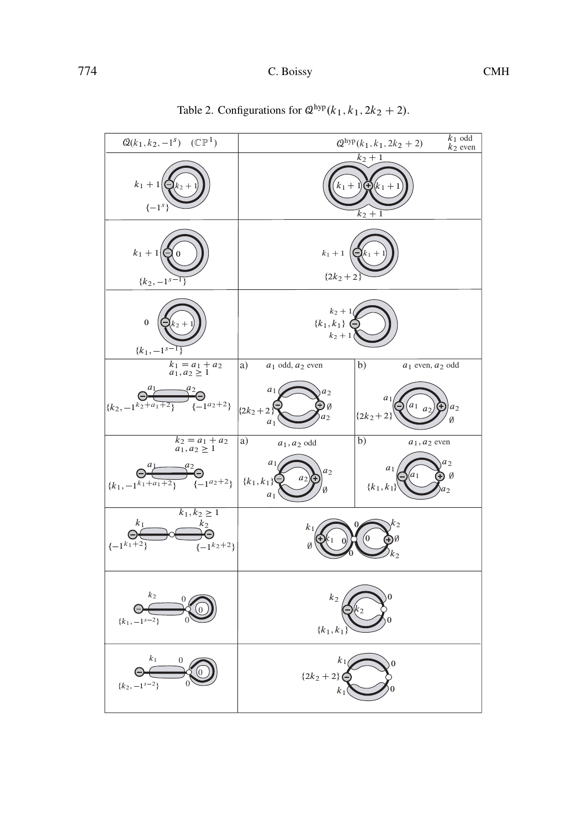<span id="page-17-0"></span>

| $\mathcal{Q}(k_1,k_2,-1^s) \quad (\mathbb{CP}^1)$                                                           | $k_1$ odd<br>$\mathcal{Q}^{\text{hyp}}(k_1,k_1,2k_2+2)$<br>$k_2$ even                       |                                                                                                          |  |
|-------------------------------------------------------------------------------------------------------------|---------------------------------------------------------------------------------------------|----------------------------------------------------------------------------------------------------------|--|
| $k_1 + 1$ <sup>(</sup><br>$\{-1^s\}$                                                                        | $k_2 + 1$<br>$k_1 +$<br>$\bigoplus (k_1)$<br>$\tilde{k}_2+\tilde{l}$                        |                                                                                                          |  |
| $k_1 + 1$<br>$\{k_2, -1^{s-1}\}$                                                                            | $k_1 + 1$<br>$k_1 +$<br>$\{2k_2+2\}$                                                        |                                                                                                          |  |
| $\boldsymbol{0}$<br>62 F<br>$\{k_1, -1^s\}$                                                                 | $k_2 + 1$<br>${k_1, k_1}$ (<br>$k_2 + 1$                                                    |                                                                                                          |  |
| $\begin{array}{l} k_1=a_1+a_2\\ a_1,a_2\geq 1 \end{array}$<br>$\{-1^{a_2+2}\}$<br>$\{k_2, -1^{k_2+a_1+2}\}$ | a)<br>$a_1$ odd, $a_2$ even<br>$a_1$<br>$a_2$<br>Œ<br>) Ø<br>$\{2k_2+2\}$<br>$a_2$<br>$a_1$ | $\overline{b)}$<br>$a_1$ even, $a_2$ odd<br>$a_1$<br>$a_1$ $a_2$<br>$\bigoplus a_2$<br>$\{2k_2+2\}$<br>Ø |  |
| $k_2 = a_1 + a_2$<br>$a_1, a_2 \ge 1$<br>$\sum_{\{-1^{a_2+2}\}}$<br>$\{k_1,-1^{k_1+a_1+2}\}$                | a)<br>$a_1$ , $a_2$ odd<br>$a_1$<br>$a_2$<br>${k_1, k_1}$<br>$a_1$                          | b)<br>$a_1$ , $a_2$ even<br>$a_2$<br>$a_1$<br>ΘØ<br>$a_1$<br>${k_1, k_1}$<br>$a_2$                       |  |
| $k_1, k_2 \geq 1$<br>$k_1$<br>$\tilde{\mathbb{A}}_{\bigoplus}^k$<br>$\{-1^{k_2+2}\}$<br>$\{-1^{k_1+2}\}\$   | 62<br>k <sub>1</sub><br>0<br>Ø<br>$k_{2}$                                                   |                                                                                                          |  |
| ${k_1, -1^{s-2}}$                                                                                           | $k_{\rm 2}$<br>${k_1, k_1}$                                                                 |                                                                                                          |  |
| $k_1$<br>$\{k_2, -1^{s-2}\}$                                                                                | k <sub>1</sub><br>$\bf{0}$<br>$\{2k_2+2\}$<br>$k_1$                                         |                                                                                                          |  |

Table 2. Configurations for  $\mathcal{Q}^{\text{hyp}}(k_1, k_1, 2k_2 + 2)$ .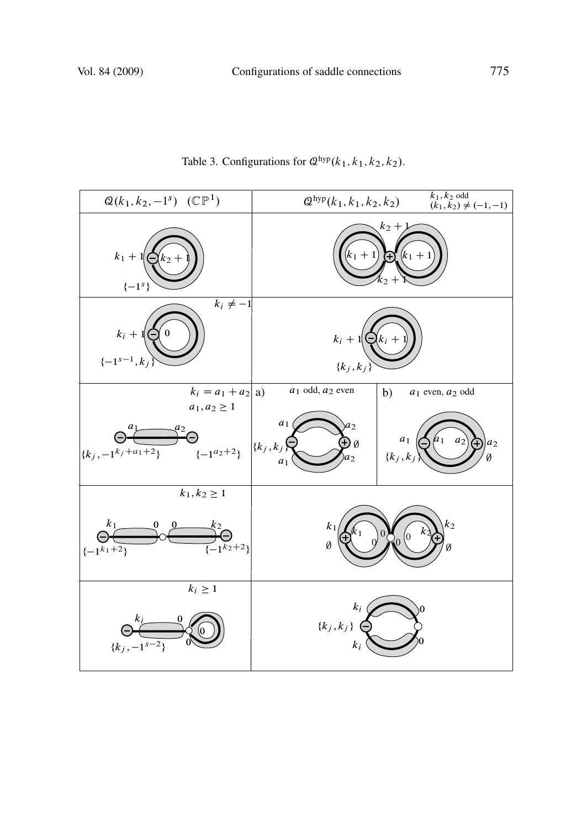<span id="page-18-0"></span>

| $\mathcal{Q}(k_1,k_2,-1^s)$ $(\mathbb{CP}^1)$                                                         | $\mathcal{Q}^{\text{hyp}}(k_{1},k_{1},k_{2},k_{2})$                | $k_1, k_2$ odd<br>$(k_1, k_2) \neq (-1, -1)$                         |
|-------------------------------------------------------------------------------------------------------|--------------------------------------------------------------------|----------------------------------------------------------------------|
| $k_1 + 1$<br>$k_2 +$<br>$\{-1^s\}$                                                                    | $(k_1 + 1)$                                                        | $k_2 + 1$<br>$\bigoplus (k_1 +$                                      |
| $k_i \neq -1$<br>$k_i + 1$ (<br>$\bf{0}$<br>$\{-1^{s-1}, k\}$                                         | $k_i+1$<br>$\{k_i, k_i\}$                                          | $k_i$ +                                                              |
| $k_i = a_1 + a_2   a)$                                                                                | $a_1$ odd, $a_2$ even                                              | b)<br>$a_1$ even, $a_2$ odd                                          |
| $a_1, a_2 \geq 1$<br>$\longrightarrow^{a_2} \ominus$<br>$\{-1^{a_2+2}\}$<br>$\{k_j, -1^{k_j+a_1+2}\}$ | $a_1$<br>$a_2$<br>Ðø<br>$\left\{k_j,k_j\right\}$<br>$a_2$<br>$a_1$ | $a_1$<br>a <sub>2</sub><br>la 1<br>$ a_2 $<br>Ŧ<br>${k_j, k_j}$<br>Ø |
| $k_1, k_2 \ge 1$<br>$k_{1}$<br>$\sum_{k=1}^{k}$<br>$\{ -1^{\overline{k_1+2}} \}$                      | k <sub>1</sub><br>Ø                                                | $k_{2}$                                                              |
| $k_i\geq 1$<br>${k_j, -1^{s-2}}$                                                                      | $k_i$<br>$\{k_j,k_j\}$<br>$k_i$                                    |                                                                      |

Table 3. Configurations for  $\mathcal{Q}^{\text{hyp}}(k_1, k_1, k_2, k_2)$ .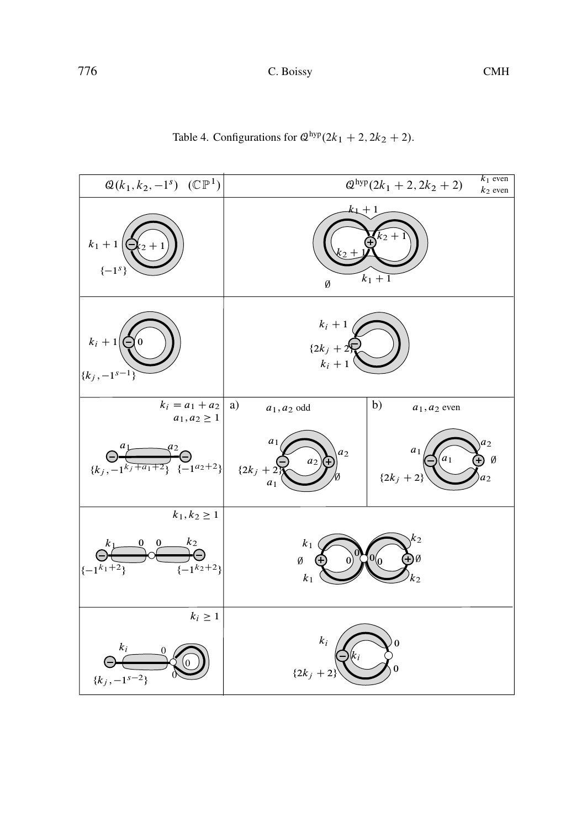<span id="page-19-0"></span>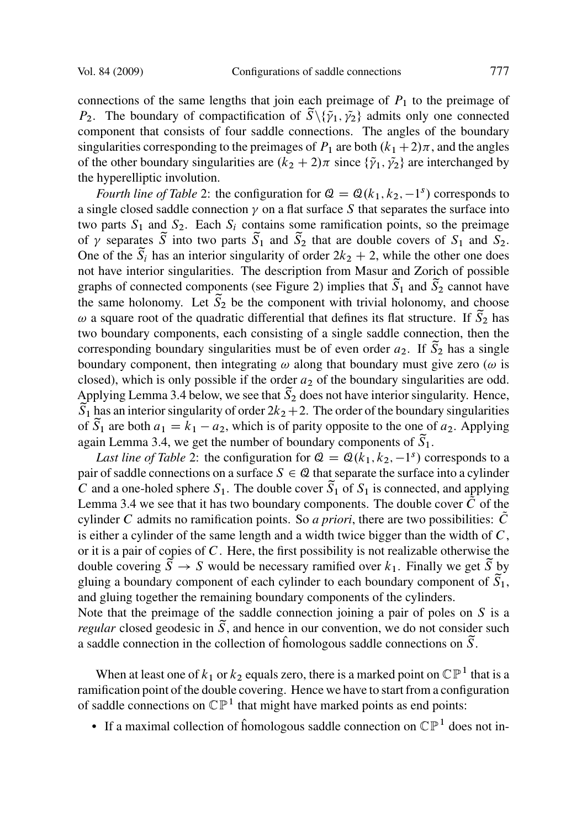connections of the same lengths that join each preimage of  $P_1$  to the preimage of  $P_2$ . The boundary of compactification of  $\tilde{S}\setminus {\tilde{\gamma}_1, \tilde{\gamma}_2}$  admits only one connected component that consists of four saddle connections. The angles of the boundary singularities corresponding to the preimages [of](#page-7-0)  $P_1$  are both  $(k_1 + 2)\pi$ , and the angles<br>of the other boundary singularities are  $(k_2 + 2)\pi$  since  $\{\tilde{v}_k, \tilde{v}_k\}$  are interchanged by of the other boundary singularities are  $(k_2 + 2)\pi$  since  $\{\tilde{\gamma}_1, \tilde{\gamma}_2\}$  are interchanged by the hyperallintic involution the hyperelliptic involution.

*Fourth line of Table* 2: the configuration for  $\mathcal{Q} = \mathcal{Q}(k_1, k_2, -1^s)$  corresponds to nate closed saddle connection  $\gamma$  on a flat surface S that separates the surface into a single closed saddle connection  $\gamma$  on a flat surface S that separates the surface into two parts  $S_1$  and  $S_2$ . Each  $S_i$  contains some ramification points, so the preimage of  $\gamma$  separates  $\overline{S}$  into two parts  $\overline{S}_1$  and  $\overline{S}_2$  that are double covers of  $S_1$  and  $S_2$ . One of the  $S_i$  has [an](#page-21-0) interior singularity of order  $2k_2 + 2$ , while the other one does not have interior singularities. The description from Masur and Zorich of possible graphs of connected components (see Figure 2) implies that  $\tilde{S}_1$  and  $\tilde{S}_2$  cannot have the same hol[onom](#page-21-0)y. Let  $S_2$  be the component with trivial holonomy, and choose  $\omega$  a square root of th[e q](#page-17-0)uadratic differential that defines its flat structure. If  $S_2$  has two boundary components, each consisting of a single saddle connection, then the corresponding boundary singularities must be of even order  $a_2$ . If  $S_2$  has a single bounda[ry co](#page-21-0)mponent, then integrating  $\omega$  along that boundary must give zero ( $\omega$  is closed), which is only possible if the order  $a_2$  of the boundary singularities are odd. Applying Lemma 3.4 below, we see that  $S_2$  does not have interior singularity. Hence,  $\overline{S}_1$  has an interior singularity of order  $2k_2+2$ . The order of the boundary singularities of  $S_1$  are both  $a_1 = k_1 - a_2$ , which is of parity opposite to the one of  $a_2$ . Applying again I emma 3.4, we get the number of boundary components of  $\tilde{S}_1$ . again Lemma 3.4, we get the number of boundary components of  $S_1$ .

Last line of Table 2: the configuration for  $\mathcal{Q} = \mathcal{Q}(k_1, k_2, -1^s)$  corresponds to a collection on a surface  $S \in \mathcal{Q}$  that separate the surface into a cylinder pair of saddle connections on a surface  $S \in \mathcal{Q}$  that separate the surface into a cylinder C and a one-holed sphere  $S_1$ . The double cover  $\overline{S}_1$  of  $S_1$  is connected, and applying Lemma 3.4 we see that it has two boundary components. The double cover  $\hat{C}$  of the cylinder C admits no ramification points. So *a priori*, there are two possibilities:  $\ddot{C}$ is either a cylinder of the same length and a width twice bigger than the width of  $C$ , or it is a pair of copies of  $C$ . Here, the first possibility is not realizable otherwise the double covering  $\tilde{S} \to S$  would be necessary ramified over  $k_1$ . Finally we get  $\tilde{S}$  by gluing a boundary component of each cylinder to each boundary component of  $S_1$ , and gluing together the remaining boundary components of the cylinders. Note that the preimage of the saddle connection joining a pair of poles on  $S$  is a

*regular* closed geodesic in  $\tilde{S}$ , and hence in our convention, we do not consider such a saddle connection in the collection of homologous saddle connections on  $\tilde{S}$ .

When at least one of  $k_1$  or  $k_2$  equals zero, there is a marked point on  $\mathbb{CP}^1$  that is a ramification point of the double covering. Hence we have to start from a configuration of saddle connections on  $\mathbb{CP}^1$  that might have marked points as end points:

If a maximal collection of homologous saddle connection on  $\mathbb{CP}^1$  does not in-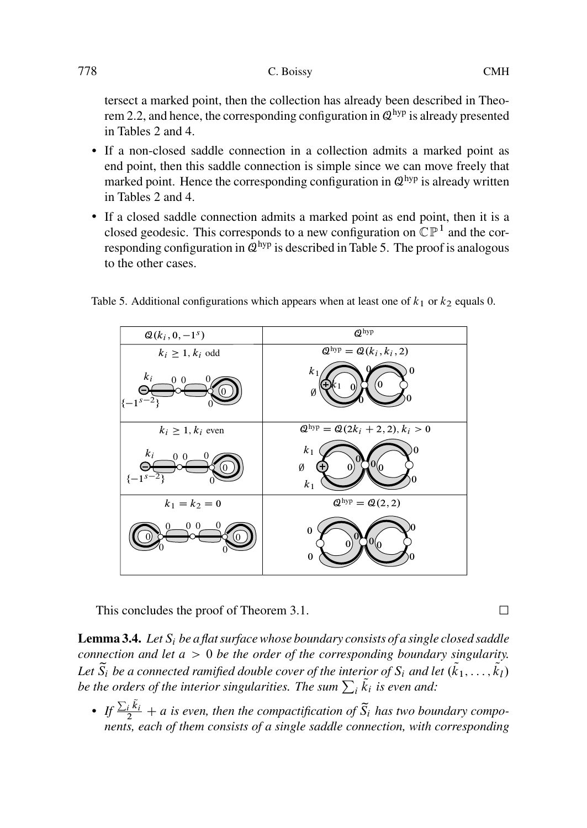tersect a marked point, then the collection has already been described in Theorem 2.2, and hence, the corresponding configuration in  $\mathcal{Q}^{hyp}$  is already presented in Tables 2 and 4.

- If a non-closed saddle connection in a collection admits a marked point as end point, then this saddle connection is simple since we can move freely that marked point. Hence the corresponding configuration in  $\mathcal{Q}^{\text{hyp}}$  is already written in Tables 2 and 4.
- If a closed saddle connection admits a marked point as end point, then it is a closed geodesic. This corresponds to a new configuration on  $\mathbb{CP}^1$  and the corresponding configuration in  $\mathbb{Q}^{\text{hyp}}$  is described in Table 5. The proof is analogous to the other cases.

Table 5. Additional configurations which appears when at least one of  $k_1$  or  $k_2$  equals 0.



This concludes the proof of Theorem 3.1.  $\Box$ 

**Lemma 3.4.** *Let* <sup>S</sup>i *be a flat surface whose boundary consists of a single closed saddle connection and let* a>0 *be the order of the corresponding boundary singularity.* Let  $\overline{S}_i$  *be a connected ramified double cover of the interior of*  $S_i$  *and let*  $(k_1, \ldots, k_l)$ <br>be the orders of the interior singularities. The sum  $\sum_k \tilde{k}_i$  is away and. *be the orders of the interior singularities. The sum*  $\sum_i k_i$  *is even and:* 

If  $\frac{\sum_{i} k_i}{2}$  + a is even, then the compactification of  $\tilde{S}_i$  has two boundary components, each of them consists of a single saddle connection, with corresponding

<span id="page-21-0"></span>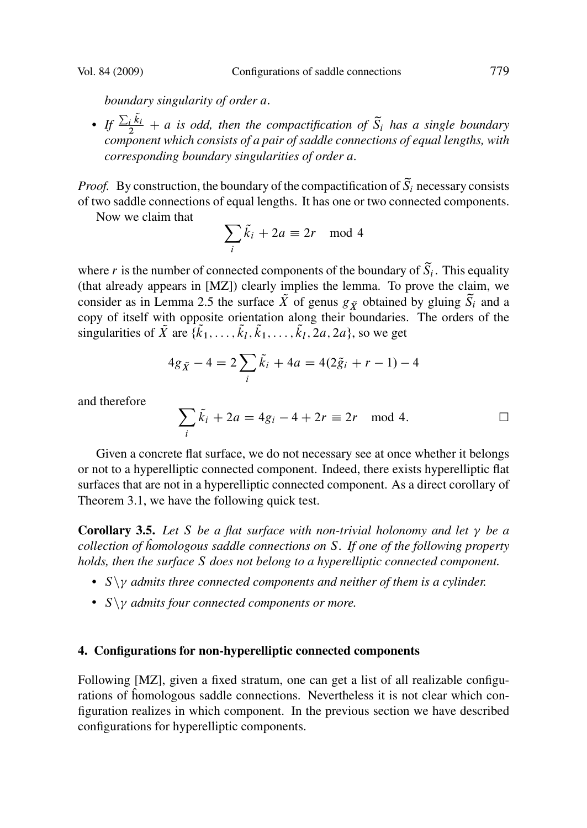*boundary singularity of order* a*.*

If  $\frac{\sum_{i} k_i}{2}$  + a is odd, then the compactification of  $\tilde{S}_i$  has a single boundary *component which consists of a pair of saddle connections of equal lengths, with corresponding bo[un](#page-12-0)[dary](#page-34-0) singularities of order* a*.*

*Proof.* By construction, the boundary of the compactification of  $\tilde{S}_i$  necessary consists of two saddle connections of equal lengths. It has one or two connected components.

Now we claim that

$$
\sum_i \tilde{k}_i + 2a \equiv 2r \mod 4
$$

where r is the number of connected components of the boundary of  $\tilde{S}_i$ . This equality (that already appears in [MZ]) clearly implies the lemma. To prove the claim, we consider as in Lemma 2.5 the surface X of genus  $g_{\tilde{X}}$  obtained by gluing  $S_i$  and a copy of itself with opposite orientation along their boundaries. The orders of the singularities of X are  $\{k_1, \ldots, k_l, k_1, \ldots, k_l, 2a, 2a\}$ , so we get

$$
4g_{\tilde{X}} - 4 = 2\sum_{i} \tilde{k}_i + 4a = 4(2\tilde{g}_i + r - 1) - 4
$$

and therefore

$$
\sum_{i} \tilde{k}_i + 2a = 4g_i - 4 + 2r \equiv 2r \mod 4.
$$

Given a concrete flat surface, we do not necessary see at once whether it belongs or not to a hyperelliptic connected component. Indeed, there exists hyperelliptic flat surfaces that are not in a hyperelliptic connected component. As a direct corollary of Theorem 3.1, we have the following quick test.

**Corollary 3.5.** Let S be a flat surface with non-trivial holonomy and let  $\gamma$  be a *collection of [hom](#page-34-0)ologous saddle connections on S*. If one of the following property *holds, then the surface* S *does not belong to a hyperelliptic connected component.*

- $\cdot$   $S \setminus \gamma$  *admits three connected components and neither of them is a cylinder.*
- $S \y$  *admits four connected components or more.*

#### **4. Configurations for non-hyperelliptic connected components**

Following [MZ], given a fixed stratum, one can get a list of all realizable configurations of homologous saddle connections. Nevertheless it is not clear which configuration realizes in which component. In the previous section we have described configurations for hyperelliptic components.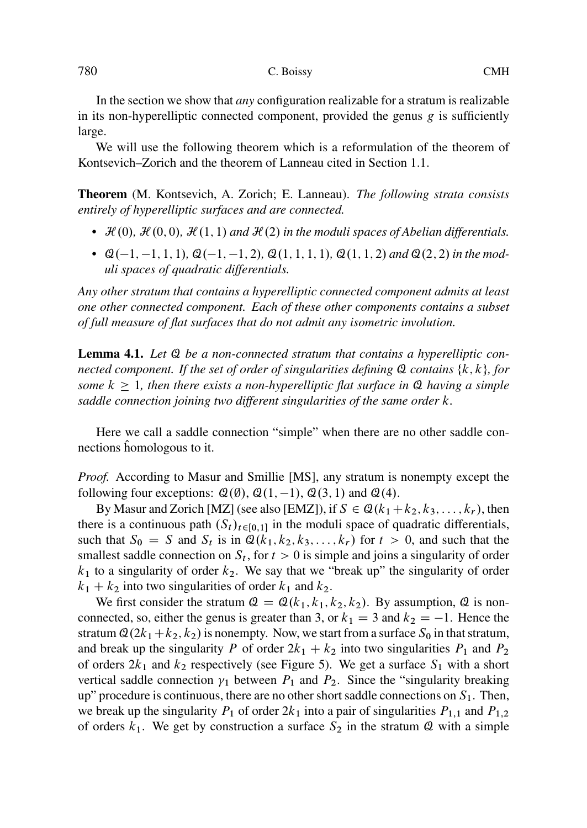In the section we show that *any* configuration realizable for a stratum is realizable in its non-hyperelliptic connected component, provided the genus  $g$  is sufficiently large.

We will use the following theorem which is a reformulation of the theorem of Kontsevich–Zorich and the theorem of Lanneau cited in Section 1.1.

**Theorem** (M. Kontsevich, A. Zorich; E. Lanneau). *The following strata consists entirely of hyperelliptic surfaces and are connected.*

- $\bullet$   $\mathcal{H}(0), \mathcal{H}(0,0), \mathcal{H}(1,1)$  and  $\mathcal{H}(2)$  in the moduli spaces of Abelian differentials.
- $Q(-1, -1, 1, 1, 1), Q(-1, -1, 2), Q(1, 1, 1, 1), Q(1, 1, 2)$  and  $Q(2, 2)$  in the mod-<br>
uli spaces of aughtaric differentials *uli spaces of quadratic differentials.*

*Any other stratum that contains a hyperelliptic connected component admits at least one other connected component. Each of these other components contains a subset of full measure of flat surfaces that do not admit any isometric involution.*

**Lemma 4.1.** *Let* Q *be a non-connected stratum that contains a hyperelliptic connected component. If the [set o](#page-34-0)f order of [singul](#page-33-0)arities defining* <sup>Q</sup> *contains* fk; kg*, for some*  $k \geq 1$ *, then there exists a non-hyperelliptic flat surface in* Q *having a simple saddle connection joining two different singularities of the same order* k*.*

Here we call a saddle connection "simple" when there are no other saddle connections homologous to it.

*Proof.* According to Masur and Smillie [MS], any stratum is nonempty except the following four exceptions:  $\mathcal{Q}(\emptyset)$ ,  $\mathcal{Q}(1,-1)$ ,  $\mathcal{Q}(3,1)$  and  $\mathcal{Q}(4)$ .<br>By Masur and Zorich [MZ] (see also [FMZ]) if  $S \in \mathcal{Q}(k, \perp)$ 

By Masur and Zorich [MZ] (see also [EMZ]), if  $S \in \mathcal{Q}(k_1 + k_2, k_3, \ldots, k_r)$ , then there is a continuous path  $(S_t)_{t\in[0,1]}$  in the m[od](#page-24-0)uli space of quadratic differentials, such that  $S_0 = S$  and  $S_t$  is in  $\mathcal{Q}(k_1, k_2, k_3, \ldots, k_r)$  for  $t > 0$ , and such that the smallest saddle connection on  $S_t$ , for  $t>0$  is simple and joins a singularity of order  $k_1$  to a singularity of order  $k_2$ . We say that we "break up" the singularity of order  $k_1 + k_2$  into two singularities of order  $k_1$  and  $k_2$ .

We first consider the stratum  $\mathcal{Q} = \mathcal{Q}(k_1, k_1, k_2, k_2)$ . By assumption,  $\mathcal{Q}$  is nonconnected, so, either the genus is greater than 3, or  $k_1 = 3$  and  $k_2 = -1$ . Hence the stratum  $\theta(2k_1 + k_2, k_3)$  is nonempty. Now we start from a surface  $S_2$  in that stratum stratum  $\mathcal{Q}(2k_1+k_2, k_2)$  is nonempty. Now, we start from a surface  $S_0$  in that stratum, and break up the singularity P of order  $2k_1 + k_2$  into two singularities  $P_1$  and  $P_2$ of orders  $2k_1$  and  $k_2$  respectively (see Figure 5). We get a surface  $S_1$  with a short vertical saddle connection  $\gamma_1$  between  $P_1$  and  $P_2$ . Since the "singularity breaking up" procedure is continuous, there are no other short saddle connections on  $S_1$ . Then, we break up the singularity  $P_1$  of order  $2k_1$  into a pair of singularities  $P_{1,1}$  and  $P_{1,2}$ of orders  $k_1$ . We get by construction a surface  $S_2$  in the stratum  $Q$  with a simple

<span id="page-23-0"></span>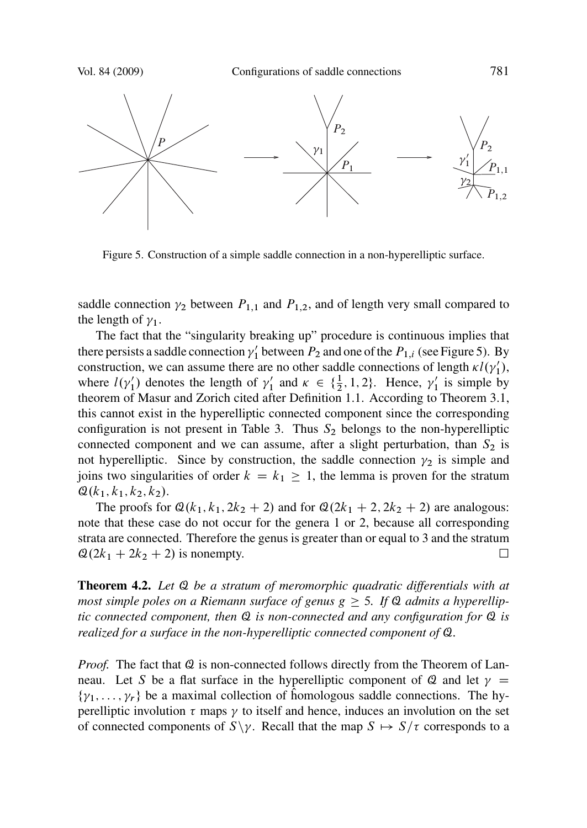<span id="page-24-0"></span>

Figure 5. Construction of a simple saddle connectio[n in a](#page-4-0) non-hyperelliptic surface.

saddle connection  $\gamma_2$  between  $P_{1,1}$  a[nd](#page-18-0)  $P_{1,2}$ , and of length very small compared to the length of  $\gamma_1$ .

The fact that the "singularity breaking up" procedure is continuous implies that there persists a saddle connection  $\gamma'_1$  between  $P_2$  and one of the  $P_{1,i}$  (see Figure 5). By<br>construction, we can assume there are no other saddle connections of length  $\kappa I(\gamma')$ construction, we can assume there are no other saddle connections of length  $\kappa l(\gamma'_1)$ ,<br>where  $l(\gamma')$  denotes the length of  $\gamma'$  and  $\kappa \in \ell^1$ ,  $\gamma$ . Hence  $\gamma'$  is simple by where  $l(\gamma_1')$  denotes the length of  $\gamma_1'$  and  $\kappa \in \{\frac{1}{2}, 1, 2\}$ . Hence,  $\gamma_1'$  is simple by theorem of Masur and Zorich cited after Definition 1.1. According to Theorem 3.1. theorem of Masur and Zorich cited after Definition 1.1. According to Theorem 3.1, this cannot exist in the hyperelliptic connected component since the corresponding configuration is not present in Table 3. Thus  $S_2$  belongs to the non-hyperelliptic connected component and we can assume, after a slight perturbation, than  $S_2$  is not hyperelliptic. Since by construction, the saddle connection  $\gamma_2$  is simple and joins two singularities of order  $k = k_1 \geq 1$ , the lemma is proven for the stratum  $\mathcal{Q}(k_1, k_1, k_2, k_2).$ 

The proofs for  $\mathcal{Q}(k_1, k_1, 2k_2 + 2)$  and for  $\mathcal{Q}(2k_1 + 2, 2k_2 + 2)$  are analogous: note that these case do not occur for the genera 1 or 2, because all corresponding strata are connected. Therefore the genus is greater than or equal to 3 and the stratum  $\mathcal{Q}(2k_1 + 2k_2 + 2)$  is nonempty.  $\Box$ 

**Theorem 4.2.** *Let* Q *be a stratum of meromorphic quadratic differentials with at most simple poles on a Riemann surface of genus*  $g \geq 5$ *. If Q admits a hyperelliptic connected component, then* Q *is non-connected and any configuration for* Q *is realized for a surface in the non-hyperelliptic connected component of* Q*.*

*Proof.* The fact that Q is non-connected follows directly from the Theorem of Lanneau. Let S be a flat surface in the hyperelliptic component of Q and let  $\gamma$  =  $\{y_1,\ldots,y_r\}$  be a maximal collection of homologous saddle connections. The hyperelliptic involution  $\tau$  maps  $\gamma$  to itself and hence, induces an involution on the set of connected components of  $S \y$ . Recall that the map  $S \rightarrow S/\tau$  corresponds to a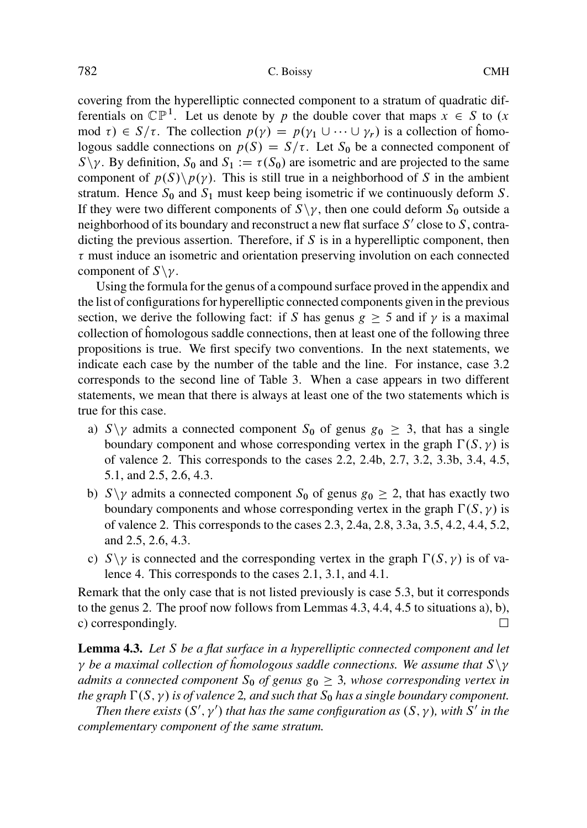covering from the hyperelliptic connected component to a stratum of quadratic differentials on  $\mathbb{CP}^1$ . Let us denote by p the double cover that maps  $x \in S$  to  $(x)$ mod  $\tau$ )  $\in S/\tau$ . The collection  $p(\gamma) = p(\gamma_1 \cup \cdots \cup \gamma_r)$  is a collection of homologous saddle connections on  $p(S) = S/\tau$ . Let  $S_0$  be a connected component of  $S \backslash \gamma$ . By definition,  $S_0$  and  $S_1 := \tau(S_0)$  are isometric and are projected to the same component of  $p(S) \setminus p(\gamma)$ . This is still true in a neighborhood of S in the ambient stratum. Hence  $S_0$  and  $S_1$  must keep being isometric if we continuously deform S. If they were two different components of  $S \ y$ , then one could deform  $S_0$  outside a neighborhood of its boundary and reconstruct a new flat surface  $S'$  close to  $S$ , con[tra](#page-18-0)-dicting the previous assertion. Therefore[, if](#page-18-0)  $S$  is in a hyperelliptic component, then  $\tau$  must induce an isometric and orientation preserving involution on each connected component of  $S \ y$ .

Using the formula for the genus of a compound surface proved in the appendix and the list of configurations for hyperelliptic connected components given in the previous section, we derive the following fact: if S has g[enu](#page-17-0)s  $g \ge 5$  $g \ge 5$  an[d i](#page-18-0)f  $\gamma$  is a [ma](#page-18-0)x[im](#page-19-0)al colle[ct](#page-21-0)ion of [ho](#page-17-0)m[olo](#page-17-0)g[ou](#page-19-0)s saddle con[ne](#page-17-0)ctions, then at least one of the f[ol](#page-18-0)lowing three propositions is true. We first specify two conventions. In the next statements, we indicate each case by the number of the table and the line. For instance, case 3.2 corresponds to the second line of Table 3. When a case appears in two different statements, we m[ean](#page-19-0) that there is always at lea[st](#page-17-0) [o](#page-17-0)n[e](#page-17-0) [o](#page-17-0)f t[he](#page-17-0) t[wo](#page-18-0) st[ate](#page-18-0)m[ent](#page-19-0)s [wh](#page-19-0)i[ch](#page-21-0) is true for t[his](#page-17-0) c[as](#page-17-0)e.

- a)  $S \y$  admits a connected component  $S_0$  of genus  $g_0 \geq 3$ , that has a single boundary component and whose corr[esp](#page-17-0)o[nd](#page-18-0)ing ve[rte](#page-19-0)x in the graph  $\Gamma(S, \gamma)$  is of valence 2. This corresponds to the cases 2.2, 2.[4b,](#page-26-0) [2.7](#page-21-0)[,](#page-27-0) 3.2, 3.3b, 3.4, 4.5, 5.1, and 2.5, 2.6, 4.3.
- b)  $S \y$  admits a connected component  $S_0$  of genus  $g_0 \geq 2$ , that has exactly two boundary components and whose corresponding vertex in the graph  $\Gamma(S, \gamma)$  is of valence 2. This corresponds to the cases 2.3, 2.4a, 2.8, 3.3a, 3.5, 4.2, 4.4, 5.2, and 2.5, 2.6, 4.3.
- c)  $S \ y$  is connected and the corresponding vertex in the graph  $\Gamma(S, \gamma)$  is of valence 4. This corresponds to the cases 2.1, 3.1, and 4.1.

Remark that the only case that is not listed previously is case 5.3, but it corresponds to the genus 2. The proof now follows from Lemmas 4.3, 4.4, 4.5 to situations a), b), c) correspondingly.  $\Box$ 

**Lemma 4.3.** *Let* S *be a flat surface in a hyperelliptic connected component and let*  $\gamma$  *be a maximal collection of homologous saddle connections. We assume that*  $S \ Y$ *admits a connected component*  $S_0$  *of genus*  $g_0 \geq 3$ *, whose corresponding vertex in the graph*  $\Gamma(S, y)$  *is of valence* 2*, and such that*  $S_0$  *has a single boundary component.* 

Then there exists  $(S', \gamma')$  that has the same configuration as  $(S, \gamma)$ , with  $S'$  in the *complementary component of the same stratum.*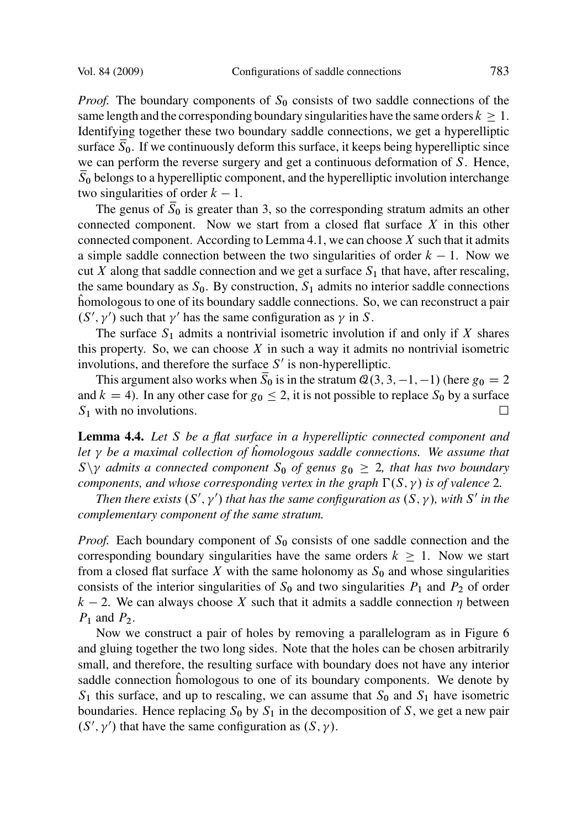<span id="page-26-0"></span>

*Proof.* The boundary components of  $S_0$  co[nsis](#page-23-0)ts of two saddle connections of the same length and the corresponding boundary singularities have the same orders  $k \geq 1$ . Identifying together these two boundary saddle connections, we get a hyperelliptic surface  $\overline{S}_0$ . If we continuously deform this surface, it keeps being hyperelliptic since we can perform the reverse surgery and get a continuous deformation of  $S$ . Hence,  $\overline{S}_0$  belongs to a hyperelliptic component, and the hyperelliptic involution interchange two singularities of order  $k-1$ .<br>The genus of  $\overline{S}_6$  is greater the

The genus of  $\overline{S}_0$  is greater than 3, so the corresponding stratum admits an other connected component. Now we start from a closed flat surface  $X$  in this other connected component. According to Lemma 4.1, we can choose  $X$  such that it admits a simple saddle connection between the two singularities of order  $k - 1$ . Now we cut Y along that saddle connection and we get a surface S, that have after rescaling cut  $X$  along that saddle connection and we get a surface  $S_1$  that have, after rescaling, the same boundary as  $S_0$ . By construction,  $S_1$  admits no interior saddle connections homologous to one of its boundary saddle connections. So, we can reconstruct a pair ˆ  $(S', \gamma')$  such that  $\gamma'$  has the same configuration as  $\gamma$  in S.

The surface  $S_1$  admits a nontrivial isometric involution if and only if X shares this property. So, we can choose  $X$  in such a way it admits no nontrivial isometric involutions, and therefore the surface  $S'$  is non-hyperelliptic.

This argument also works when  $S_0$  is in the stratum  $\mathcal{Q}(3, 3, -1, -1)$  (here  $g_0 = 2$ <br> $k = 4$ ). In any other case for  $g_0 < 2$  it is not possible to replace  $S_0$  by a surface and  $k = 4$ ). In any other case for  $g_0 \le 2$ , it is not possible to replace  $S_0$  by a surface  $S_1$  with no involutions.  $S_1$  with no involutions.

**Lemma 4.4.** *Let* S *be a flat surface in a hyperelliptic connected component and let* γ be a maximal collection of *homologous saddle connections.* We assume that  $S \y$  *admits a connected component*  $S_0$  *of genus*  $g_0 \geq 2$ *, that has two boundary components, and whose corresponding vertex in the graph*  $\Gamma(S, \gamma)$  *is of valence* 2*.* 

T[he](#page-27-0)n there exists  $(S', \gamma')$  that has the same configuration as  $(S, \gamma)$ , with  $S'$  in the *complementary component of the same stratum.*

*Proof.* Each boundary component of  $S_0$  consists of one saddle connection and the corresponding boundary singularities have the same orders  $k \geq 1$ . Now we start from a closed flat surface X with the same holonomy as  $S_0$  and whose singularities consists of the interior singularities of  $S_0$  and two singularities  $P_1$  and  $P_2$  of order  $k - 2$ . We can always choose X such that it admits a saddle connection  $\eta$  between  $P_1$  and  $P_2$  $P_1$  and  $P_2$ .

Now we construct a pair of holes by removing a parallelogram as in Figure 6 and gluing together the two long sides. Note that the holes can be chosen arbitrarily small, and therefore, the resulting surface with boundary does not have any interior saddle connection homologous to one of its boundary components. We denote by  $S_1$  this surface, and up to rescaling, we can assume that  $S_0$  and  $S_1$  have isometric boundaries. Hence replacing  $S_0$  by  $S_1$  in the decomposition of S, we get a new pair  $(S', \gamma')$  that have the same configuration as  $(S, \gamma)$ .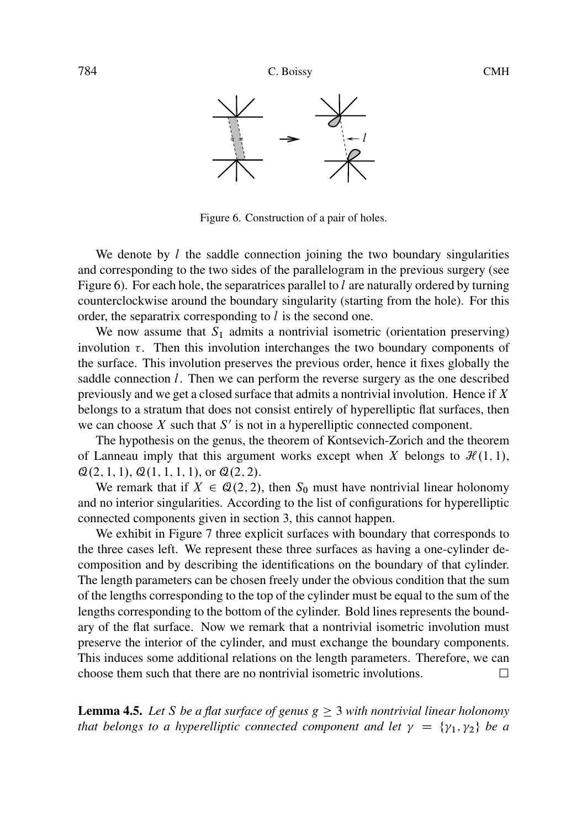

Figure 6. Construction of a pair of holes.

We denote by  $l$  the saddle connection joining the two boundary singularities and corresponding to the two sides of the parallelogram in the previous surgery (see Figure 6). For each hole, the separatrices parallel to  $l$  are naturally ordered by turning counterclockwise around the boundary singularity (starting from the hole). For this order, the separatrix corresponding to  $l$  is the second one.

We now assume that  $S_1$  admits a nontrivial isometric (orientation preserving) involution  $\tau$ . Then this involution interchanges the two boundary components of the surface. This involution preserves the previous order, hence it fixes globally the saddle connection *l*. Then we can perform the reverse surgery as the one described previously and we get a [clo](#page-28-0)sed surface that admits a nontrivial involution. Hence if  $X$ belongs to a stratum that does not consist entirely of hyperelliptic flat surfaces, then we can choose  $X$  such that  $S'$  is not in a hyperelliptic connected component.

The hypothesis on the genus, the theorem of Kontsevich-Zorich and the theorem of Lanneau imply that this argument works except when X belongs to  $\mathcal{H}(1, 1)$ ,  $\mathcal{Q}(2, 1, 1), \mathcal{Q}(1, 1, 1, 1),$  or  $\mathcal{Q}(2, 2)$ .

We remark that if  $X \in \mathcal{Q}(2, 2)$ , then  $S_0$  must have nontrivial linear holonomy and no interior singularities. According to the list of configurations for hyperelliptic connected components given in section 3, this cannot happen.

We exhibit in Figure 7 three explicit surfaces with boundary that corresponds to the three cases left. We represent these three surfaces as having a one-cylinder decomposition and by describing the identifications on the boundary of that cylinder. The length parameters can be chosen freely under the obvious condition that the sum of the lengths corresponding to the top of the cylinder must be equal to the sum of the lengths corresponding to the bottom of the cylinder. Bold lines represents the boundary of the flat surface. Now we remark that a nontrivial isometric involution must preserve the interior of the cylinder, and must exchange the boundary components. This induces some additional relations on the length parameters. Therefore, we can choose them such that there are no nontrivial isometric involutions.  $\Box$ 

**Lemma 4.5.** Let S be a flat surface of genus  $g \geq 3$  with nontrivial linear holonomy *that belongs to a hyperelliptic connected component and let*  $\gamma = {\gamma_1, \gamma_2}$  *be a* 

<span id="page-27-0"></span>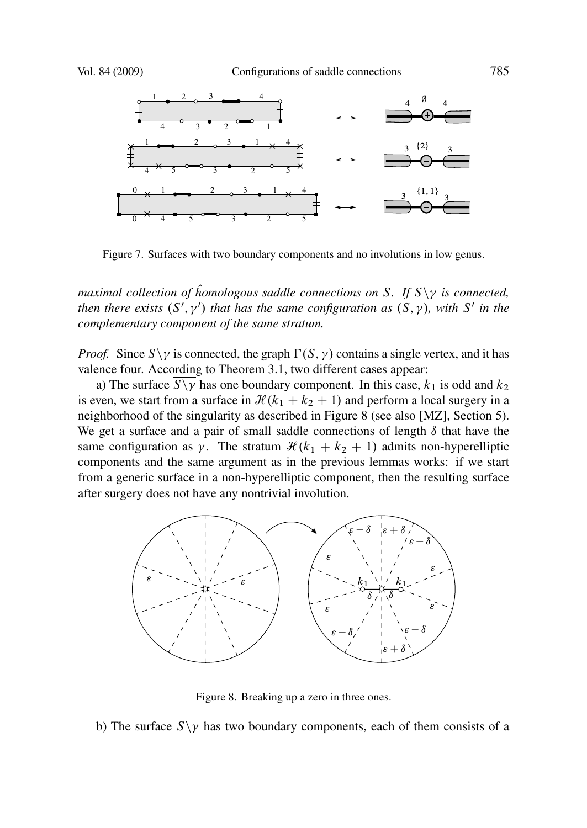<span id="page-28-0"></span>

Figure 7. Surfaces with two boundary components and no involutions in low genus.

*max[i](#page-34-0)mal collection of homologous saddle connections on S*. If  $S \y$  *is connected, then there exists*  $(S', \gamma')$  *that has the same configuration as*  $(S, \gamma)$ *, with*  $S'$  *in the complementary component of the same stratum.*

*Proof.* Since  $S \y$  is connected, the graph  $\Gamma(S, \gamma)$  contains a single vertex, and it has valence four. According to Theorem 3.1, two different cases appear:

a) The surface  $S \y$  has one boundary component. In this case,  $k_1$  is odd and  $k_2$ is even, we start from a surface in  $\mathcal{H}(k_1 + k_2 + 1)$  and perform a local surgery in a neighborhood of the singularity as described in Figure 8 (see also [MZ], Section 5). We get a surface and a pair of small saddle connections of length  $\delta$  that have the same configuration as  $\gamma$ . The stratum  $\mathcal{H}(k_1 + k_2 + 1)$  admits non-hyperelliptic components and the same argument as in the previous lemmas works: if we start from a generic surface in a non-hyperelliptic component, then the resulting surface after surgery does not have any nontrivial involution.



Figure 8. Breaking up a zero in three ones.

b) The surface  $\overline{S\setminus\gamma}$  has two boundary components, each of them consists of a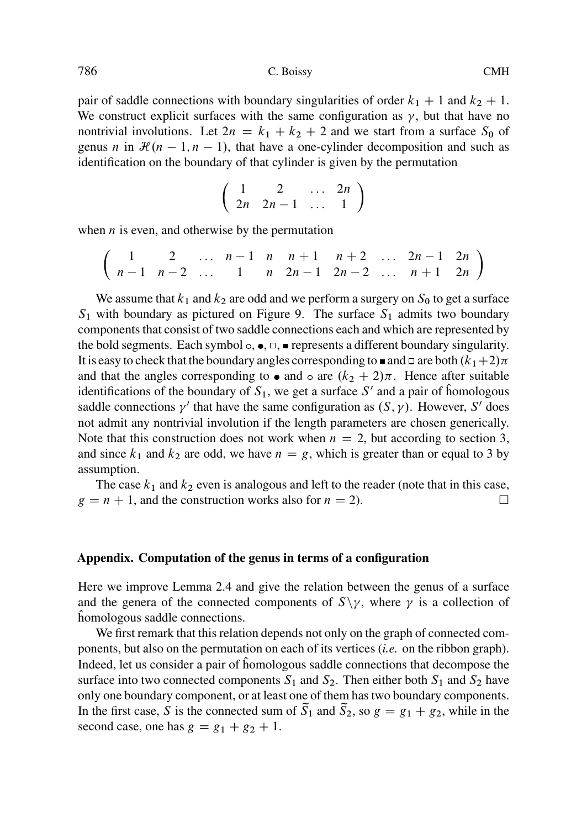pair of saddle connections with boundary singularities of order  $k_1 + 1$  and  $k_2 + 1$ . We construct explicit surfaces with the same configuration as  $\gamma$ , but that have no nontrivial involutions. Let  $2n = k_1 + k_2 + 2$  and we start from a surface  $S_0$  of genus *n* in  $\mathcal{H}(n-1,n-1)$ , that have a one-cylinder decomposition and such as identification on the boundary of that cylinder is given by the permutation identification on the boundary of that cylinder is given by the permutation

$$
\left(\begin{array}{cccc} 1 & 2 & \dots & 2n \\ 2n & 2n-1 & \dots & 1 \end{array}\right)
$$

when  $n$  is even, and otherwise by the permutation

 $\begin{pmatrix} 1 & 2 & \dots & n-1 & n & n+1 & n+2 & \dots & 2n-1 & 2n \ n-1 & n-2 & & 1 & n & 2n-1 & 2n-2 & n+1 & 2n \end{pmatrix}$  $\begin{pmatrix} 1 & 2 & \dots & n-1 & n & n+1 & n+2 & \dots & 2n-1 & 2n \\ n-1 & n-2 & \dots & 1 & n & 2n-1 & 2n-2 & \dots & n+1 & 2n \end{pmatrix}$ 

We assume that  $k_1$  and  $k_2$  are odd and we perform a surgery on  $S_0$  to get a surface  $S_1$  with boundary as pictured on Figure 9. The surface  $S_1$  admits two boundary components that consist of two saddle connections each and which are represented by the bold segments. Each symbol  $\circ$ ,  $\bullet$ ,  $\Box$ ,  $\bullet$  represents a different boundary singularity. It is easy to check that the boundary angles corresponding to  $\bullet$  and  $\Box$  are both  $(k_1+2)\pi$ <br>and that the angles corresponding to  $\bullet$  and  $\Diamond$  are  $(k_2+2)\pi$ . Hence after suitable and that the angles corresponding to  $\bullet$  and  $\circ$  are  $(k_2 + 2)\pi$ . Hence after suitable identifications of the boundary of S, we get a surface S' and a pair of homologous identifications of the boundary of  $S_1$ , we get a surface S' and a pair of homologous saddle connections  $\gamma'$  that have the same configuration as  $(S, \gamma)$ . However, S' does not admit any nontrivial involution if the length parameters are chosen generically. Note that this construction does not work when  $n = 2$ , but according to section 3, and since  $k_1$  and  $k_2$  are o[dd,](#page-12-0) [w](#page-12-0)e have  $n = g$ , which is greater than or equal to 3 by assumption.

The case  $k_1$  and  $k_2$  even is analogous and left to the reader (note that in this case,<br>=  $n + 1$ , and the construction works also for  $n = 2$ ).  $g = n + 1$ , and the construction works also for  $n = 2$ ).

#### **Appendix. Computation of the genus in terms of a configuration**

Here we improve Lemma 2.4 and give the relation between the genus of a surface and the genera of the connected components of  $S\y$ , where  $\gamma$  is a collection of homologous saddle connections.

We first remark that this relation depends not only on the graph of connected components, but also on the permutation on each of its vertices (*i.e.* on the ribbon graph). Indeed, let us consider a pair of homologous saddle connections that decompose the surface into two connected components  $S_1$  and  $S_2$ . Then either both  $S_1$  and  $S_2$  have only one boundary component, or at least one of them has two boundary components. In the first case, S is the connected sum of  $\tilde{S}_1$  and  $\tilde{S}_2$ , so  $g = g_1 + g_2$ , while in the second case, one has  $g = g_1 + g_2 + 1$ .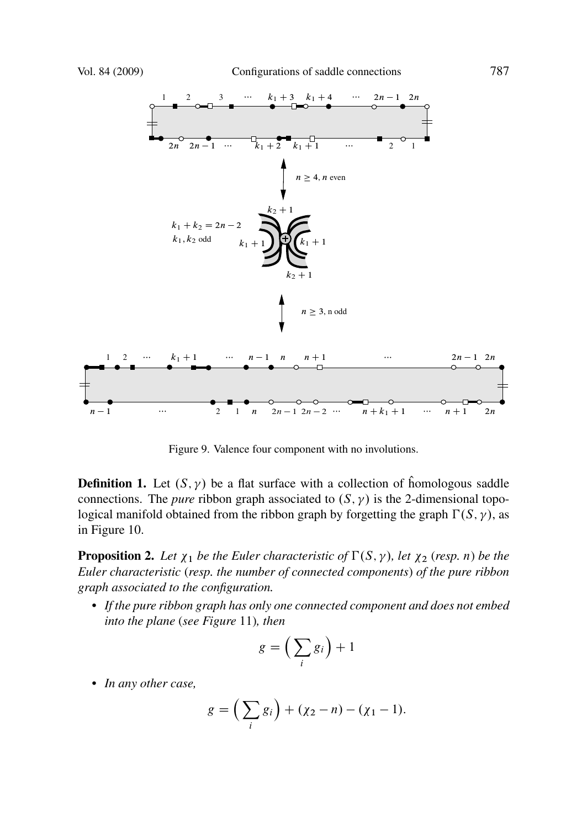<span id="page-30-0"></span>

Figure 9. Valence four component with no involutions.

**Definition 1.** Let  $(S, \gamma)$  be a [flat](#page-31-0) surface with a collection of homologous saddle connections. The *pure* ribbon graph associated to  $(S, \gamma)$  is the 2-dimensional topological manifold obtained from the ribbon graph by forgetting the graph  $\Gamma(S, \gamma)$ , as in Figure 10.

**Proposition 2.** Let  $\chi_1$  be the Euler characteristic of  $\Gamma(S, \gamma)$ , let  $\chi_2$  (resp. n) be the *Euler characteristic* (*resp. the number of connected components*) *of the pure ribbon graph associated to the configuration.*

- *If the pure ribbon graph has only one connected component and does not embed into the plane* (*see Figure* 11)*, then*

$$
g = \left(\sum_i g_i\right) + 1
$$

- *In any other case,*

$$
g = \left(\sum_{i} g_{i}\right) + (\chi_{2} - n) - (\chi_{1} - 1).
$$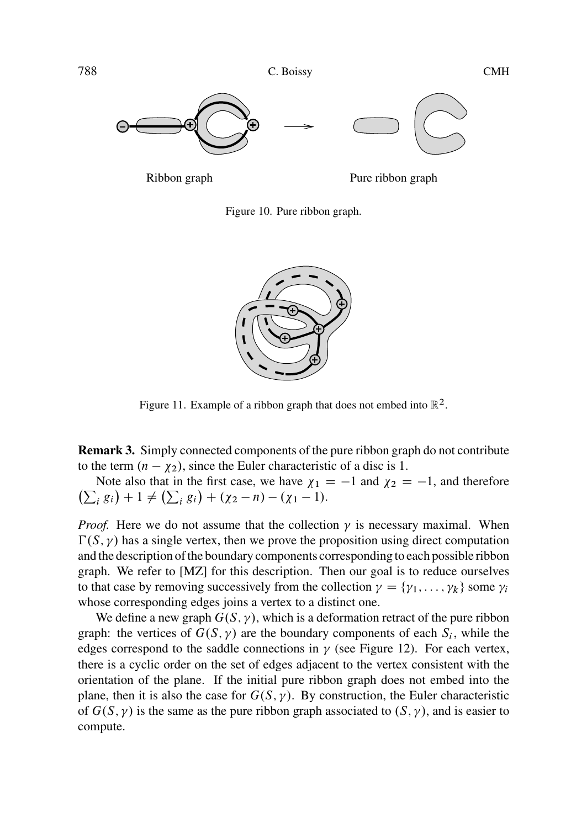<span id="page-31-0"></span>

Figure 10. Pure ribbon graph.



Figure 11. Example of a ribbon graph that does not embed into  $\mathbb{R}^2$ .

**Remark 3.** Simply connected components of the pure ribbon graph do not contribute to the term  $(n - \chi_2)$ , since the Euler characteristic of a disc is 1.<br>Note also that in the first case, we have  $\chi_1 = -1$  and  $\chi_2 =$ 

Note also that in the first case, we have  $\chi_1 = -1$  and  $\chi_2 = -1$ , and therefore  $(\sum_i g_i) + 1 \neq (\sum_i g_i) + (\chi_2 - n) - (\chi_1 - 1).$ 

*Proof.* Here we do not assume that the collection  $\gamma$  is necessary maximal. When  $\Gamma(S, \gamma)$  has a single vertex, then we prove the proposition using direct computation and the description of the boundary components corresponding to each possible ribbon graph. We refer to [MZ] for this description. Then our goal is to reduce ourselves to that case by removing successively from the collection  $\gamma = {\gamma_1, \ldots, \gamma_k}$  some  $\gamma_i$ whose corresponding edges joins a vertex to a distinct one.

We define a new graph  $G(S, \gamma)$ , which is a deformation retract of the pure ribbon graph: the vertices of  $G(S, \gamma)$  are the boundary components of each  $S_i$ , while the edges correspond to the saddle connections in  $\gamma$  (see Figure 12). For each vertex, there is a cyclic order on the set of edges adjacent to the vertex consistent with the orientation of the plane. If the initial pure ribbon graph does not embed into the plane, then it is also the case for  $G(S, \gamma)$ . By construction, the Euler characteristic of  $G(S, \gamma)$  is the same as the pure ribbon graph associated to  $(S, \gamma)$ , and is easier to compute.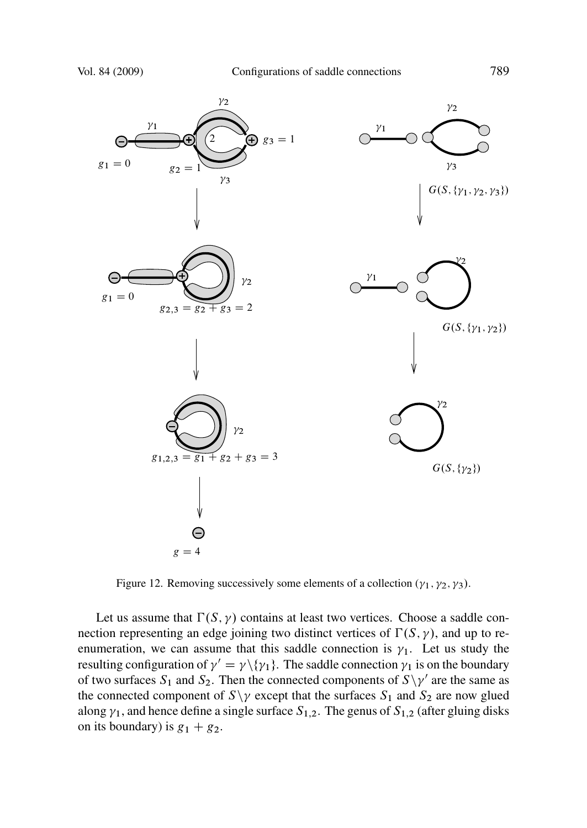

Figure 12. Removing successively some elements of a collection  $(\gamma_1, \gamma_2, \gamma_3)$ .

Let us assume that  $\Gamma(S, \gamma)$  contains at least two vertices. Choose a saddle connection representing an edge joining two distinct vertices of  $\Gamma(S, \gamma)$ , and up to reenumeration, we can assume that this saddle connection is  $\gamma_1$ . Let us study the resulting configuration of  $\gamma' = \gamma \setminus {\gamma_1}$ . The saddle connection  $\gamma_1$  is on the boundary of two surfaces  $S_1$  and  $S_2$ . Then the connected components of  $S\ y'$  are the same as the connected component of  $S \y$  except that the surfaces  $S_1$  and  $S_2$  are now glued along  $\gamma_1$ , and hence define a single surface  $S_{1,2}$ . The genus of  $S_{1,2}$  (after gluing disks on its boundary) is  $g_1 + g_2$ .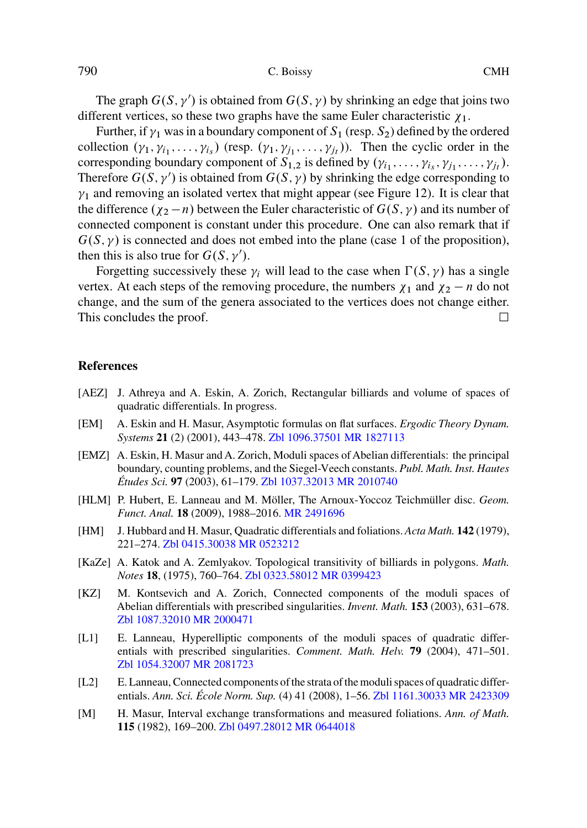The graph  $G(S, \gamma')$  is obtained from  $G(S, \gamma)$  by shrinking an edge that joins two different vertices, so these two graphs have the same Euler characteristic  $\chi_1$ .

Further, if  $\gamma_1$  was in a boundary component of  $S_1$  (resp.  $S_2$ ) defined by the ordered collection  $(\gamma_1, \gamma_{i_1}, \ldots, \gamma_{i_s})$  (resp.  $(\gamma_1, \gamma_{i_1}, \ldots, \gamma_{i_t})$ ). Then the cyclic order in the corresponding boundary component of  $S_{1,2}$  is defined by  $(\gamma_{i_1}, \ldots, \gamma_{i_s}, \gamma_{j_1}, \ldots, \gamma_{j_t})$ . Therefore  $G(S, \gamma')$  is obtained from  $G(S, \gamma)$  by shrinking the edge corresponding to  $\gamma_1$  and removing an isolated vertex that might appear (see Figure 12). It is clear that the difference  $(\chi_2 - n)$  between the Euler characteristic of  $G(S, \gamma)$  and its number of connected component is constant under this procedure. One can also remark that if connected component is constant under this procedure. One can also remark that if  $G(S, \gamma)$  is connected and does not embed into the plane (case 1 of the proposition), then this is also true for  $G(S, \gamma')$ .

Forgetting successively these  $\gamma_i$  will lead to the case when  $\Gamma(S, \gamma)$  has a single vertex. At each steps of the removing procedure, the numbers  $\chi_1$  and  $\chi_2 - n$  do not change and the sum of the general associated to the vertices does not change either change, and the sum of the genera a[ssociated to the](http://www.emis.de/MATH-item?1096.37501) [vertices doe](http://www.ams.org/mathscinet-getitem?mr=1827113)s not change either. This concludes the proof.

# **References**

- [AEZ] J. Athreya and A. Eskin, A. Zorich, Rectangular billiards and volume of spaces of quadratic [differentials. In](http://www.emis.de/MATH-item?0415.30038) [progress.](http://www.ams.org/mathscinet-getitem?mr=0523212)
- [EM] A. Eskin and H. Masur, Asymptotic formulas on flat surfaces. *Ergodic Theory Dynam. Systems* **21** (2) (2001), 443–478. [Zbl 1096.3](http://www.emis.de/MATH-item?0323.58012)[7501 MR 1827](http://www.ams.org/mathscinet-getitem?mr=0399423)113
- [EMZ] A. Eskin, H. Masur and A. Zorich, Moduli spaces of Abelian differentials: the principal boundary, counting problems, and the Siegel-Veech constants. *Publ. Math. Inst. Hautes [Études Sci.](http://www.emis.de/MATH-item?1087.32010)* **97** ([2003\), 61–179](http://www.ams.org/mathscinet-getitem?mr=2000471). Zbl 1037.32013 MR 2010740
- [HLM] P. Hubert, E. Lanneau and M. Möller, The Arnoux-Yoccoz Teichmüller disc. *Geom. Funct. Anal.* **18** (2009), 1988–2016. MR 2491696
- [HM] [J. Hubbard and H](http://www.emis.de/MATH-item?1054.32007)[. Masur, Quad](http://www.ams.org/mathscinet-getitem?mr=2081723)ratic differentials and foliations. *Acta Math.* **142** (1979), 221–274. Zbl 0415.30038 MR 0523212
- [KaZe] A. Katok and A. Zemlyakov. Topological transitivity o[f billiards in pol](http://www.emis.de/MATH-item?1161.30033)[ygons.](http://www.ams.org/mathscinet-getitem?mr=2423309) *Math. Notes* **18**, (1975), 760–764. Zbl 0323.58012 MR 0399423
- [KZ] M. Kontsevich and [A. Zorich, Con](http://www.emis.de/MATH-item?0497.28012)[nected compo](http://www.ams.org/mathscinet-getitem?mr=0644018)nents of the moduli spaces of Abelian differentials with prescribed singularities. *Invent. Math.* **153** (2003), 631–678. Zbl 1087.32010 MR 2000471
- [L1] E. Lanneau, Hyperelliptic components of the moduli spaces of quadratic differentials with prescribed singularities. *Comment. Math. Helv.* **79** (2004), 471–501. Zbl 1054.32007 MR 2081723
- [L2] E. Lanneau, Connected components of the strata of the moduli spaces of quadratic differentials. *Ann. Sci. École Norm. Sup.* (4) 41 (2008), 1–56. Zbl 1161.30033 MR 2423309
- [M] H. Masur, Interval exchange transformations and measured foliations. *Ann. of Math.* **115** (1982), 169–200. Zbl 0497.28012 MR 0644018

<span id="page-33-0"></span>